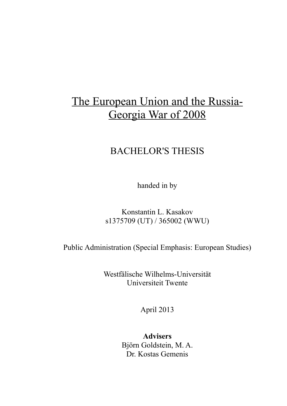# The European Union and the Russia-Georgia War of 2008

## BACHELOR'S THESIS

handed in by

Konstantin L. Kasakov s1375709 (UT) / 365002 (WWU)

Public Administration (Special Emphasis: European Studies)

Westfälische Wilhelms-Universität Universiteit Twente

April 2013

**Advisers** Björn Goldstein, M. A. Dr. Kostas Gemenis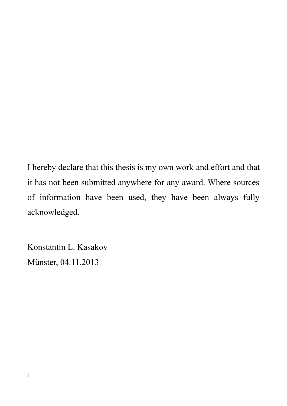I hereby declare that this thesis is my own work and effort and that it has not been submitted anywhere for any award. Where sources of information have been used, they have been always fully acknowledged.

Konstantin L. Kasakov Münster, 04.11.2013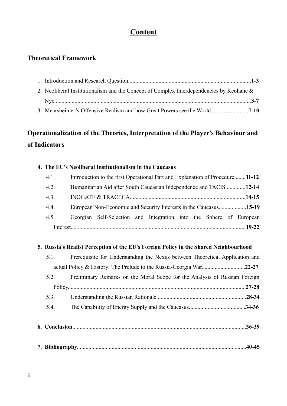## **Content**

## **Theoretical Framework**

| 2. Neoliberal Institutionalism and the Concept of Complex Interdependencies by Keohane $\&$ |  |  |
|---------------------------------------------------------------------------------------------|--|--|
|                                                                                             |  |  |
|                                                                                             |  |  |

## **Operationalization of the Theories, Interpretation of the Player's Behaviour and of Indicators**

#### **4. The EU's Neoliberal Institutionalism in the Caucasus**

| 4.1. | Introduction to the first Operational Part and Explanation of Procedure11-12 |  |  |  |
|------|------------------------------------------------------------------------------|--|--|--|
| 4.2. | Humanitarian Aid after South Caucasian Independence and TACIS12-14           |  |  |  |
| 4.3. |                                                                              |  |  |  |
| 4.4. |                                                                              |  |  |  |
| 4.5. | Georgian Self-Selection and Integration into the Sphere of European          |  |  |  |
|      |                                                                              |  |  |  |

### **5. Russia's Realist Perception of the EU's Foreign Policy in the Shared Neighbourhood**

|  | 5.1. | Prerequisite for Understanding the Nexus between Theoretical Application and |  |
|--|------|------------------------------------------------------------------------------|--|
|  |      |                                                                              |  |
|  | 5.2. | Preliminary Remarks on the Moral Scope for the Analysis of Russian Foreign   |  |
|  |      | $.27 - 28$                                                                   |  |
|  | 5.3. | $.28 - 34$                                                                   |  |
|  | 5.4. |                                                                              |  |
|  |      |                                                                              |  |
|  |      | $.36 - 39$                                                                   |  |
|  |      |                                                                              |  |

| $\overline{\phantom{0}}$ |  |  |  |
|--------------------------|--|--|--|
|--------------------------|--|--|--|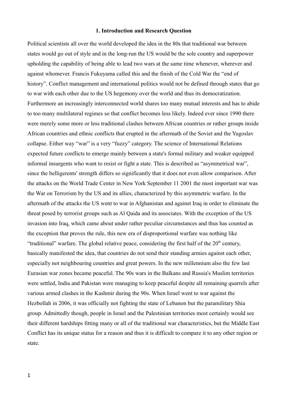#### **1. Introduction and Research Question**

Political scientists all over the world developed the idea in the 80s that traditional war between states would go out of style and in the long-run the US would be the sole country and superpower upholding the capability of being able to lead two wars at the same time whenever, wherever and against whomever. Francis Fukuyama called this and the finish of the Cold War the "end of history". Conflict management and international politics would not be defined through states that go to war with each other due to the US hegemony over the world and thus its democratization. Furthermore an increasingly interconnected world shares too many mutual interests and has to abide to too many multilateral regimes so that conflict becomes less likely. Indeed ever since 1990 there were merely some more or less traditional clashes between African countries or rather groups inside African countries and ethnic conflicts that erupted in the aftermath of the Soviet and the Yugoslav collapse. Either way "war" is a very "fuzzy" category. The science of International Relations expected future conflicts to emerge mainly between a state's formal military and weaker equipped informal insurgents who want to resist or fight a state. This is described as "asymmetrical war", since the belligerents' strength differs so significantly that it does not even allow comparison. After the attacks on the World Trade Center in New York September 11 2001 the most important war was the War on Terrorism by the US and its allies, characterized by this asymmetric warfare. In the aftermath of the attacks the US went to war in Afghanistan and against Iraq in order to eliminate the threat posed by terrorist groups such as Al Qaida and its associates. With the exception of the US invasion into Iraq, which came about under rather peculiar circumstances and thus has counted as the exception that proves the rule, this new era of disproportional warfare was nothing like "traditional" warfare. The global relative peace, considering the first half of the  $20<sup>th</sup>$  century, basically manifested the idea, that countries do not send their standing armies against each other, especially not neighbouring countries and great powers. In the new millennium also the few last Eurasian war zones became peaceful. The 90s wars in the Balkans and Russia's Muslim territories were settled, India and Pakistan were managing to keep peaceful despite all remaining quarrels after various armed clashes in the Kashmir during the 90s. When Israel went to war against the Hezbollah in 2006, it was officially not fighting the state of Lebanon but the paramilitary Shia group. Admittedly though, people in Israel and the Palestinian territories most certainly would see their different hardships fitting many or all of the traditional war characteristics, but the Middle East Conflict has its unique status for a reason and thus it is difficult to compare it to any other region or state.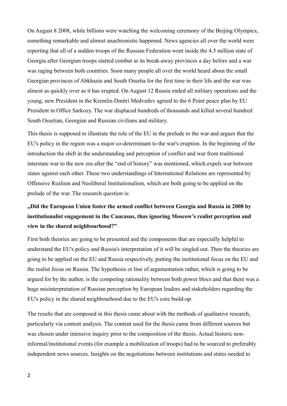On August 8 2008, while billions were watching the welcoming ceremony of the Beijing Olympics, something remarkable and almost anachronistic happened. News agencies all over the world were reporting that all of a sudden troops of the Russian Federation went inside the 4.5 million state of Georgia after Georgian troops started combat in its break-away provinces a day before and a war was raging between both countries. Soon many people all over the world heard about the small Georgian provinces of Abkhazia and South Ossetia for the first time in their life and the war was almost as quickly over as it has erupted. On August 12 Russia ended all military operations and the young, new President in the Kremlin Dmitri Medvedev agreed to the 6 Point peace plan by EU President in Office Sarkozy. The war displaced hundreds of thousands and killed several hundred South Ossetian, Georgian and Russian civilians and military.

This thesis is supposed to illustrate the role of the EU in the prelude to the war and argues that the EU's policy in the region was a major co-determinant to the war's eruption. In the beginning of the introduction the shift in the understanding and perception of conflict and war from traditional interstate war to the new era after the "end of history" was mentioned, which expels war between states against each other. These two understandings of International Relations are represented by Offensive Realism and Neoliberal Institutionalism, which are both going to be applied on the prelude of the war. The research question is:

## **"Did the European Union foster the armed conflict between Georgia and Russia in 2008 by institutionalist engagement in the Caucasus, thus ignoring Moscow's realist perception and view in the shared neighbourhood?"**

First both theories are going to be presented and the components that are especially helpful to understand the EU's policy and Russia's interpretation of it will be singled out. Then the theories are going to be applied on the EU and Russia respectively, putting the institutional focus on the EU and the realist focus on Russia. The hypothesis or line of argumentation rather, which is going to be argued for by the author, is the competing rationality between both power blocs and that there was a huge misinterpretation of Russian perception by European leaders and stakeholders regarding the EU's policy in the shared neighbourhood due to the EU's core build-up.

The results that are composed in this thesis came about with the methods of qualitative research, particularly via content analysis. The content used for the thesis came from different sources but was chosen under intensive inquiry prior to the composition of the thesis. Actual historic noninformal/institutional events (for example a mobilization of troops) had to be sourced to preferably independent news sources. Insights on the negotiations between institutions and states needed to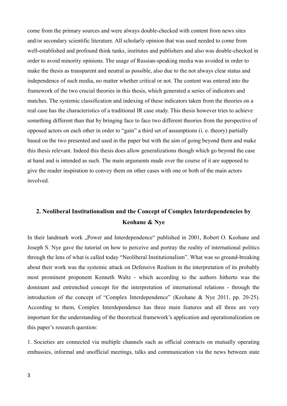come from the primary sources and were always double-checked with content from news sites and/or secondary scientific literature. All scholarly opinion that was used needed to come from well-established and profound think tanks, institutes and publishers and also was double-checked in order to avoid minority opinions. The usage of Russian-speaking media was avoided in order to make the thesis as transparent and neutral as possible, also due to the not always clear status and independence of such media, no matter whether critical or not. The content was entered into the framework of the two crucial theories in this thesis, which generated a series of indicators and matches. The systemic classification and indexing of these indicators taken from the theories on a real case has the characteristics of a traditional IR case study. This thesis however tries to achieve something different than that by bringing face to face two different theories from the perspective of opposed actors on each other in order to "gain" a third set of assumptions (i. e. theory) partially based on the two presented and used in the paper but with the aim of going beyond them and make this thesis relevant. Indeed this thesis does allow generalizations though which go beyond the case at hand and is intended as such. The main arguments made over the course of it are supposed to give the reader inspiration to convey them on other cases with one or both of the main actors involved.

### **2. Neoliberal Institutionalism and the Concept of Complex Interdependencies by Keohane & Nye**

In their landmark work "Power and Interdependence" published in 2001, Robert O. Keohane and Joseph S. Nye gave the tutorial on how to perceive and portray the reality of international politics through the lens of what is called today "Neoliberal Institutionalism". What was so ground-breaking about their work was the systemic attack on Defensive Realism in the interpretation of its probably most prominent proponent Kenneth Waltz - which according to the authors hitherto was the dominant and entrenched concept for the interpretation of international relations - through the introduction of the concept of "Complex Interdependence" (Keohane & Nye 2011, pp. 20-25). According to them, Complex Interdependence has three main features and all three are very important for the understanding of the theoretical framework's application and operationalization on this paper's research question:

1. Societies are connected via multiple channels such as official contracts on mutually operating embassies, informal and unofficial meetings, talks and communication via the news between state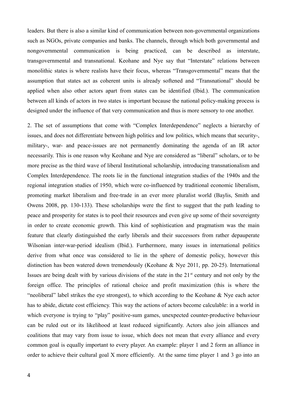leaders. But there is also a similar kind of communication between non-governmental organizations such as NGOs, private companies and banks. The channels, through which both governmental and nongovernmental communication is being practiced, can be described as interstate, transgovernmental and transnational. Keohane and Nye say that "Interstate" relations between monolithic states is where realists have their focus, whereas "Transgovernmental" means that the assumption that states act as coherent units is already softened and "Transnational" should be applied when also other actors apart from states can be identified (Ibid.). The communication between all kinds of actors in two states is important because the national policy-making process is designed under the influence of that very communication and thus is more sensory to one another.

2. The set of assumptions that come with "Complex Interdependence" neglects a hierarchy of issues, and does not differentiate between high politics and low politics, which means that security-, military-, war- and peace-issues are not permanently dominating the agenda of an IR actor necessarily. This is one reason why Keohane and Nye are considered as "liberal" scholars, or to be more precise as the third wave of liberal Institutional scholarship, introducing transnationalism and Complex Interdependence. The roots lie in the functional integration studies of the 1940s and the regional integration studies of 1950, which were co-influenced by traditional economic liberalism, promoting market liberalism and free-trade in an ever more pluralist world (Baylis, Smith and Owens 2008, pp. 130-133). These scholarships were the first to suggest that the path leading to peace and prosperity for states is to pool their resources and even give up some of their sovereignty in order to create economic growth. This kind of sophistication and pragmatism was the main feature that clearly distinguished the early liberals and their successors from rather depauperate Wilsonian inter-war-period idealism (Ibid.). Furthermore, many issues in international politics derive from what once was considered to lie in the sphere of domestic policy, however this distinction has been watered down tremendously (Keohane & Nye 2011, pp. 20-25). International Issues are being dealt with by various divisions of the state in the  $21<sup>st</sup>$  century and not only by the foreign office. The principles of rational choice and profit maximization (this is where the "neoliberal" label strikes the eye strongest), to which according to the Keohane & Nye each actor has to abide, dictate cost efficiency. This way the actions of actors become calculable: in a world in which everyone is trying to "play" positive-sum games, unexpected counter-productive behaviour can be ruled out or its likelihood at least reduced significantly. Actors also join alliances and coalitions that may vary from issue to issue, which does not mean that every alliance and every common goal is equally important to every player. An example: player 1 and 2 form an alliance in order to achieve their cultural goal X more efficiently. At the same time player 1 and 3 go into an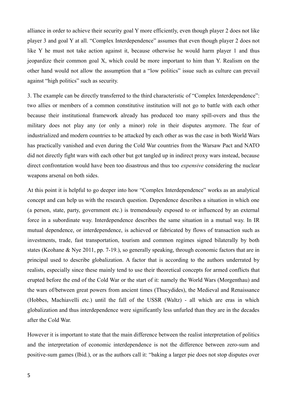alliance in order to achieve their security goal Y more efficiently, even though player 2 does not like player 3 and goal Y at all. "Complex Interdependence" assumes that even though player 2 does not like Y he must not take action against it, because otherwise he would harm player 1 and thus jeopardize their common goal X, which could be more important to him than Y. Realism on the other hand would not allow the assumption that a "low politics" issue such as culture can prevail against "high politics" such as security.

3. The example can be directly transferred to the third characteristic of "Complex Interdependence": two allies or members of a common constitutive institution will not go to battle with each other because their institutional framework already has produced too many spill-overs and thus the military does not play any (or only a minor) role in their disputes anymore. The fear of industrialized and modern countries to be attacked by each other as was the case in both World Wars has practically vanished and even during the Cold War countries from the Warsaw Pact and NATO did not directly fight wars with each other but got tangled up in indirect proxy wars instead, because direct confrontation would have been too disastrous and thus too *expensive* considering the nuclear weapons arsenal on both sides.

At this point it is helpful to go deeper into how "Complex Interdependence" works as an analytical concept and can help us with the research question. Dependence describes a situation in which one (a person, state, party, government etc.) is tremendously exposed to or influenced by an external force in a subordinate way. Interdependence describes the same situation in a mutual way. In IR mutual dependence, or interdependence, is achieved or fabricated by flows of transaction such as investments, trade, fast transportation, tourism and common regimes signed bilaterally by both states (Keohane & Nye 2011, pp. 7-19.), so generally speaking, through economic factors that are in principal used to describe globalization. A factor that is according to the authors underrated by realists, especially since these mainly tend to use their theoretical concepts for armed conflicts that erupted before the end of the Cold War or the start of it: namely the World Wars (Morgenthau) and the wars of/between great powers from ancient times (Thucydides), the Medieval and Renaissance (Hobbes, Machiavelli etc.) until the fall of the USSR (Waltz) - all which are eras in which globalization and thus interdependence were significantly less unfurled than they are in the decades after the Cold War.

However it is important to state that the main difference between the realist interpretation of politics and the interpretation of economic interdependence is not the difference between zero-sum and positive-sum games (Ibid.), or as the authors call it: "baking a larger pie does not stop disputes over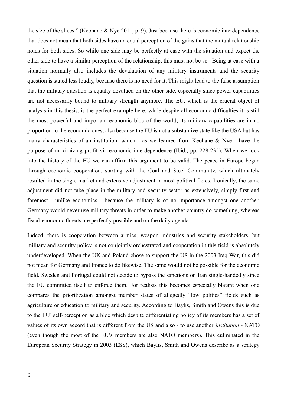the size of the slices." (Keohane & Nye 2011, p. 9). Just because there is economic interdependence that does not mean that both sides have an equal perception of the gains that the mutual relationship holds for both sides. So while one side may be perfectly at ease with the situation and expect the other side to have a similar perception of the relationship, this must not be so. Being at ease with a situation normally also includes the devaluation of any military instruments and the security question is stated less loudly, because there is no need for it. This might lead to the false assumption that the military question is equally devalued on the other side, especially since power capabilities are not necessarily bound to military strength anymore. The EU, which is the crucial object of analysis in this thesis, is the perfect example here: while despite all economic difficulties it is still the most powerful and important economic bloc of the world, its military capabilities are in no proportion to the economic ones, also because the EU is not a substantive state like the USA but has many characteristics of an institution, which - as we learned from Keohane  $\&$  Nye - have the purpose of maximizing profit via economic interdependence (Ibid., pp. 228-235). When we look into the history of the EU we can affirm this argument to be valid. The peace in Europe began through economic cooperation, starting with the Coal and Steel Community, which ultimately resulted in the single market and extensive adjustment in most political fields. Ironically, the same adjustment did not take place in the military and security sector as extensively, simply first and foremost - unlike economics - because the military is of no importance amongst one another. Germany would never use military threats in order to make another country do something, whereas fiscal-economic threats are perfectly possible and on the daily agenda.

Indeed, there is cooperation between armies, weapon industries and security stakeholders, but military and security policy is not conjointly orchestrated and cooperation in this field is absolutely underdeveloped. When the UK and Poland chose to support the US in the 2003 Iraq War, this did not mean for Germany and France to do likewise. The same would not be possible for the economic field. Sweden and Portugal could not decide to bypass the sanctions on Iran single-handedly since the EU committed itself to enforce them. For realists this becomes especially blatant when one compares the prioritization amongst member states of allegedly "low politics" fields such as agriculture or education to military and security. According to Baylis, Smith and Owens this is due to the EU' self-perception as a bloc which despite differentiating policy of its members has a set of values of its own accord that is different from the US and also - to use another *institution* - NATO (even though the most of the EU's members are also NATO members). This culminated in the European Security Strategy in 2003 (ESS), which Baylis, Smith and Owens describe as a strategy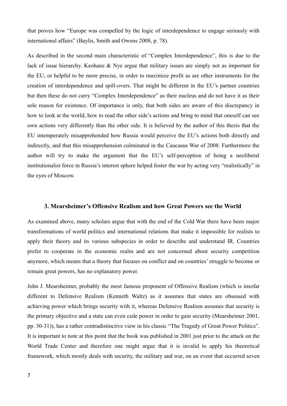that proves how "Europe was compelled by the logic of interdependence to engage seriously with international affairs" (Baylis, Smith and Owens 2008, p. 78).

As described in the second main characteristic of "Complex Interdependence", this is due to the lack of issue hierarchy. Keohane & Nye argue that military issues are simply not as important for the EU, or helpful to be more precise, in order to maximize profit as are other instruments for the creation of interdependence and spill-overs. That might be different in the EU's partner countries but then these do not carry "Complex Interdependence" as their nucleus and do not have it as their sole reason for existence. Of importance is only, that both sides are aware of this discrepancy in how to look at the world, how to read the other side's actions and bring to mind that oneself can see own actions very differently than the other side. It is believed by the author of this thesis that the EU intemperately misapprehended how Russia would perceive the EU's actions both directly and indirectly, and that this misapprehension culminated in the Caucasus War of 2008. Furthermore the author will try to make the argument that the EU's self-perception of being a neoliberal institutionalist force in Russia's interest sphere helped foster the war by acting very "realistically" in the eyes of Moscow.

#### **3. Mearsheimer's Offensive Realism and how Great Powers see the World**

As examined above, many scholars argue that with the end of the Cold War there have been major transformations of world politics and international relations that make it impossible for realists to apply their theory and its various subspecies in order to describe and understand IR. Countries prefer to cooperate in the economic realm and are not concerned about security competition anymore, which means that a theory that focuses on conflict and on countries' struggle to become or remain great powers, has no explanatory power.

John J. Mearsheimer, probably the most famous proponent of Offensive Realism (which is insofar different to Defensive Realism (Kenneth Waltz) as it assumes that states are obsessed with achieving power which brings security with it, whereas Defensive Realism assumes that security is the primary objective and a state can even cede power in order to gain security (Mearsheimer 2001, pp. 30-31)), has a rather contradistinctive view in his classic "The Tragedy of Great Power Politics". It is important to note at this point that the book was published in 2001 just prior to the attack on the World Trade Center and therefore one might argue that it is invalid to apply his theoretical framework, which mostly deals with security, the military and war, on an event that occurred seven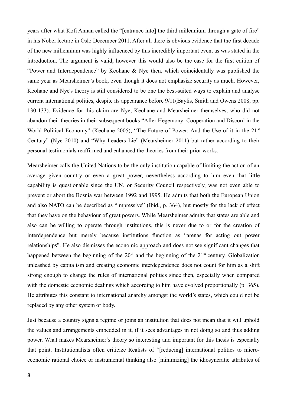years after what Kofi Annan called the "[entrance into] the third millennium through a gate of fire" in his Nobel lecture in Oslo December 2011. After all there is obvious evidence that the first decade of the new millennium was highly influenced by this incredibly important event as was stated in the introduction. The argument is valid, however this would also be the case for the first edition of "Power and Interdependence" by Keohane & Nye then, which coincidentally was published the same year as Mearsheimer's book, even though it does not emphasize security as much. However, Keohane and Nye's theory is still considered to be one the best-suited ways to explain and analyse current international politics, despite its appearance before 9/11(Baylis, Smith and Owens 2008, pp. 130-133). Evidence for this claim are Nye, Keohane and Mearsheimer themselves, who did not abandon their theories in their subsequent books "After Hegemony: Cooperation and Discord in the World Political Economy" (Keohane 2005), "The Future of Power: And the Use of it in the 21<sup>st</sup> Century" (Nye 2010) and "Why Leaders Lie" (Mearsheimer 2011) but rather according to their personal testimonials reaffirmed and enhanced the theories from their prior works.

Mearsheimer calls the United Nations to be the only institution capable of limiting the action of an average given country or even a great power, nevertheless according to him even that little capability is questionable since the UN, or Security Council respectively, was not even able to prevent or abort the Bosnia war between 1992 and 1995. He admits that both the European Union and also NATO can be described as "impressive" (Ibid., p. 364), but mostly for the lack of effect that they have on the behaviour of great powers. While Mearsheimer admits that states are able and also can be willing to operate through institutions, this is never due to or for the creation of interdependence but merely because institutions function as "arenas for acting out power relationships". He also dismisses the economic approach and does not see significant changes that happened between the beginning of the  $20<sup>th</sup>$  and the beginning of the  $21<sup>st</sup>$  century. Globalization unleashed by capitalism and creating economic interdependence does not count for him as a shift strong enough to change the rules of international politics since then, especially when compared with the domestic economic dealings which according to him have evolved proportionally (p. 365). He attributes this constant to international anarchy amongst the world's states, which could not be replaced by any other system or body.

Just because a country signs a regime or joins an institution that does not mean that it will uphold the values and arrangements embedded in it, if it sees advantages in not doing so and thus adding power. What makes Mearsheimer's theory so interesting and important for this thesis is especially that point. Institutionalists often criticize Realists of "[reducing] international politics to microeconomic rational choice or instrumental thinking also [minimizing] the idiosyncratic attributes of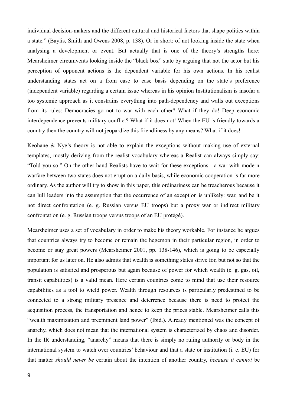individual decision-makers and the different cultural and historical factors that shape politics within a state." (Baylis, Smith and Owens 2008, p. 138). Or in short: of not looking inside the state when analysing a development or event. But actually that is one of the theory's strengths here: Mearsheimer circumvents looking inside the "black box" state by arguing that not the actor but his perception of opponent actions is the dependent variable for his own actions. In his realist understanding states act on a from case to case basis depending on the state's preference (independent variable) regarding a certain issue whereas in his opinion Institutionalism is insofar a too systemic approach as it constrains everything into path-dependency and walls out exceptions from its rules: Democracies go not to war with each other? What if they do! Deep economic interdependence prevents military conflict? What if it does not! When the EU is friendly towards a country then the country will not jeopardize this friendliness by any means? What if it does!

Keohane & Nye's theory is not able to explain the exceptions without making use of external templates, mostly deriving from the realist vocabulary whereas a Realist can always simply say: "Told you so." On the other hand Realists have to wait for these exceptions - a war with modern warfare between two states does not erupt on a daily basis, while economic cooperation is far more ordinary. As the author will try to show in this paper, this ordinariness can be treacherous because it can lull leaders into the assumption that the occurrence of an exception is unlikely: war, and be it not direct confrontation (e. g. Russian versus EU troops) but a proxy war or indirect military confrontation (e. g. Russian troops versus troops of an EU protégé).

Mearsheimer uses a set of vocabulary in order to make his theory workable. For instance he argues that countries always try to become or remain the hegemon in their particular region, in order to become or stay great powers (Mearsheimer 2001, pp. 138-146), which is going to be especially important for us later on. He also admits that wealth is something states strive for, but not so that the population is satisfied and prosperous but again because of power for which wealth (e. g. gas, oil, transit capabilities) is a valid mean. Here certain countries come to mind that use their resource capabilities as a tool to wield power. Wealth through resources is particularly predestined to be connected to a strong military presence and deterrence because there is need to protect the acquisition process, the transportation and hence to keep the prices stable. Mearsheimer calls this "wealth maximization and preeminent land power" (Ibid.). Already mentioned was the concept of anarchy, which does not mean that the international system is characterized by chaos and disorder. In the IR understanding, "anarchy" means that there is simply no ruling authority or body in the international system to watch over countries' behaviour and that a state or institution (i. e. EU) for that matter *should never be* certain about the intention of another country, *because it cannot* be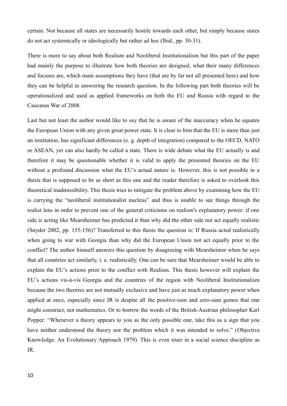certain. Not because all states are necessarily hostile towards each other, but simply because states do not act systemically or ideologically but rather ad hoc (Ibid., pp. 30-31).

There is more to say about both Realism and Neoliberal Institutionalism but this part of the paper had mainly the purpose to illustrate how both theories are designed, what their many differences and focuses are, which main assumptions they have (that are by far not all presented here) and how they can be helpful in answering the research question. In the following part both theories will be operationalized and used as applied frameworks on both the EU and Russia with regard to the Caucasus War of 2008.

Last but not least the author would like to say that he is aware of the inaccuracy when he equates the European Union with any given great power state. It is clear to him that the EU is more than just an institution, has significant differences (e. g. depth of integration) compared to the OECD, NATO or ASEAN, yet can also hardly be called a state. There is wide debate what the EU actually is and therefore it may be questionable whether it is valid to apply the presented theories on the EU without a profound discussion what the EU's actual nature is. However, this is not possible in a thesis that is supposed to be as short as this one and the reader therefore is asked to overlook this theoretical inadmissibility. This thesis tries to mitigate the problem above by examining how the EU is carrying the "neoliberal institutionalist nucleus" and thus is unable to see things through the realist lens in order to prevent one of the general criticisms on realism's explanatory power: if one side is acting like Mearsheimer has predicted it than why did the other side not act equally realistic (Snyder 2002, pp. 155-156)? Transferred to this thesis the question is: If Russia acted realistically when going to war with Georgia than why did the European Union not act equally prior to the conflict? The author himself answers this question by disagreeing with Mearsheimer when he says that all countries act similarly, i. e. realistically. One can be sure that Mearsheimer would be able to explain the EU's actions prior to the conflict with Realism. This thesis however will explain the EU's actions vis-à-vis Georgia and the countries of the region with Neoliberal Institutionalism because the two theories are not mutually exclusive and have just as much explanatory power when applied at once, especially since IR is despite all the positive-sum and zero-sum games that one might construct, not mathematics. Or to borrow the words of the British-Austrian philosopher Karl Popper: "Whenever a theory appears to you as the only possible one, take this as a sign that you have neither understood the theory nor the problem which it was intended to solve." (Objective Knowledge: An Evolutionary Approach 1979). This is even truer in a social science discipline as IR.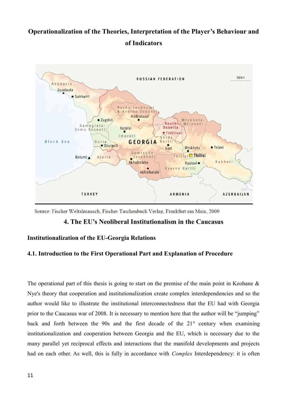## **Operationalization of the Theories, Interpretation of the Player's Behaviour and of Indicators**



Source: Fischer Weltalmanach, Fischer Taschenbuch Verlag, Frankfurt am Main, 2009

#### **4. The EU's Neoliberal Institutionalism in the Caucasus**

#### **Institutionalization of the EU-Georgia Relations**

#### **4.1. Introduction to the First Operational Part and Explanation of Procedure**

The operational part of this thesis is going to start on the premise of the main point in Keohane  $\&$ Nye's theory that cooperation and institutionalization create complex interdependencies and so the author would like to illustrate the institutional interconnectedness that the EU had with Georgia prior to the Caucasus war of 2008. It is necessary to mention here that the author will be "jumping" back and forth between the 90s and the first decade of the  $21<sup>st</sup>$  century when examining institutionalization and cooperation between Georgia and the EU, which is necessary due to the many parallel yet reciprocal effects and interactions that the manifold developments and projects had on each other. As well, this is fully in accordance with *Complex* Interdependency: it is often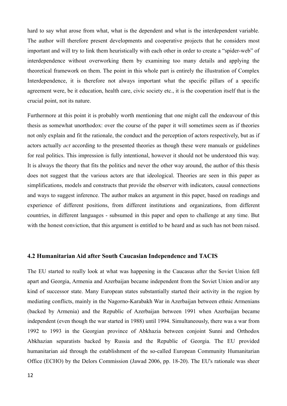hard to say what arose from what, what is the dependent and what is the interdependent variable. The author will therefore present developments and cooperative projects that he considers most important and will try to link them heuristically with each other in order to create a "spider-web" of interdependence without overworking them by examining too many details and applying the theoretical framework on them. The point in this whole part is entirely the illustration of Complex Interdependence, it is therefore not always important what the specific pillars of a specific agreement were, be it education, health care, civic society etc., it is the cooperation itself that is the crucial point, not its nature.

Furthermore at this point it is probably worth mentioning that one might call the endeavour of this thesis as somewhat unorthodox: over the course of the paper it will sometimes seem as if theories not only explain and fit the rationale, the conduct and the perception of actors respectively, but as if actors actually *act* according to the presented theories as though these were manuals or guidelines for real politics. This impression is fully intentional, however it should not be understood this way. It is always the theory that fits the politics and never the other way around, the author of this thesis does not suggest that the various actors are that ideological. Theories are seen in this paper as simplifications, models and constructs that provide the observer with indicators, causal connections and ways to suggest inference. The author makes an argument in this paper, based on readings and experience of different positions, from different institutions and organizations, from different countries, in different languages - subsumed in this paper and open to challenge at any time. But with the honest conviction, that this argument is entitled to be heard and as such has not been raised.

#### **4.2 Humanitarian Aid after South Caucasian Independence and TACIS**

The EU started to really look at what was happening in the Caucasus after the Soviet Union fell apart and Georgia, Armenia and Azerbaijan became independent from the Soviet Union and/or any kind of successor state. Many European states substantially started their activity in the region by mediating conflicts, mainly in the Nagorno-Karabakh War in Azerbaijan between ethnic Armenians (backed by Armenia) and the Republic of Azerbaijan between 1991 when Azerbaijan became independent (even though the war started in 1988) until 1994. Simultaneously, there was a war from 1992 to 1993 in the Georgian province of Abkhazia between conjoint Sunni and Orthodox Abkhazian separatists backed by Russia and the Republic of Georgia. The EU provided humanitarian aid through the establishment of the so-called European Community Humanitarian Office (ECHO) by the Delors Commission (Jawad 2006, pp. 18-20). The EU's rationale was sheer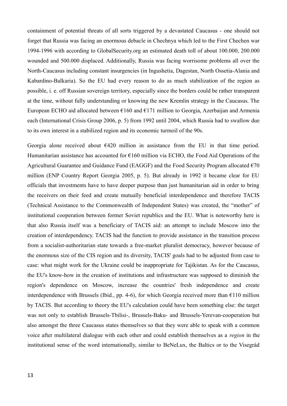containment of potential threats of all sorts triggered by a devastated Caucasus - one should not forget that Russia was facing an enormous debacle in Chechnya which led to the First Chechen war 1994-1996 with according to GlobalSecurity.org an estimated death toll of about 100.000, 200.000 wounded and 500.000 displaced. Additionally, Russia was facing worrisome problems all over the North-Caucasus including constant insurgencies (in Ingushetia, Dagestan, North Ossetia-Alania and Kabardino-Balkaria). So the EU had every reason to do as much stabilization of the region as possible, i. e. off Russian sovereign territory, especially since the borders could be rather transparent at the time, without fully understanding or knowing the new Kremlin strategy in the Caucasus. The European ECHO aid allocated between  $\epsilon$ 160 and  $\epsilon$ 171 million to Georgia, Azerbaijan and Armenia each (International Crisis Group 2006, p. 5) from 1992 until 2004, which Russia had to swallow due to its own interest in a stabilized region and its economic turmoil of the 90s.

Georgia alone received about  $E(420)$  million in assistance from the EU in that time period. Humanitarian assistance has accounted for  $E160$  million via ECHO, the Food Aid Operations of the Agricultural Guarantee and Guidance Fund (EAGGF) and the Food Security Program allocated  $\epsilon$ 70 million (ENP Country Report Georgia 2005, p. 5). But already in 1992 it became clear for EU officials that investments have to have deeper purpose than just humanitarian aid in order to bring the receivers on their feed and create mutually beneficial interdependence and therefore TACIS (Technical Assistance to the Commonwealth of Independent States) was created, the "mother" of institutional cooperation between former Soviet republics and the EU. What is noteworthy here is that also Russia itself was a beneficiary of TACIS aid: an attempt to include Moscow into the creation of interdependency. TACIS had the function to provide assistance in the transition process from a socialist-authoritarian state towards a free-market pluralist democracy, however because of the enormous size of the CIS region and its diversity, TACIS' goals had to be adjusted from case to case: what might work for the Ukraine could be inappropriate for Tajikistan. As for the Caucasus, the EU's know-how in the creation of institutions and infrastructure was supposed to diminish the region's dependence on Moscow, increase the countries' fresh independence and create interdependence with Brussels (Ibid., pp. 4-6), for which Georgia received more than  $\epsilon$ 110 million by TACIS. But according to theory the EU's calculation could have been something else: the target was not only to establish Brussels-Tbilisi-, Brussels-Baku- and Brussels-Yerevan-cooperation but also amongst the three Caucasus states themselves so that they were able to speak with a common voice after multilateral dialogue with each other and could establish themselves as a *region* in the institutional sense of the word internationally, similar to BeNeLux, the Baltics or to the Visegrád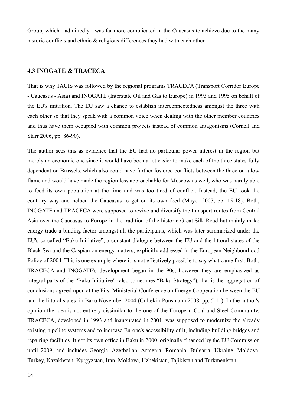Group, which - admittedly - was far more complicated in the Caucasus to achieve due to the many historic conflicts and ethnic  $\&$  religious differences they had with each other.

#### **4.3 INOGATE & TRACECA**

That is why TACIS was followed by the regional programs TRACECA (Transport Corridor Europe - Caucasus - Asia) and INOGATE (Interstate Oil and Gas to Europe) in 1993 and 1995 on behalf of the EU's initiation. The EU saw a chance to establish interconnectedness amongst the three with each other so that they speak with a common voice when dealing with the other member countries and thus have them occupied with common projects instead of common antagonisms (Cornell and Starr 2006, pp. 86-90).

The author sees this as evidence that the EU had no particular power interest in the region but merely an economic one since it would have been a lot easier to make each of the three states fully dependent on Brussels, which also could have further fostered conflicts between the three on a low flame and would have made the region less approachable for Moscow as well, who was hardly able to feed its own population at the time and was too tired of conflict. Instead, the EU took the contrary way and helped the Caucasus to get on its own feed (Mayer 2007, pp. 15-18). Both, INOGATE and TRACECA were supposed to revive and diversify the transport routes from Central Asia over the Caucasus to Europe in the tradition of the historic Great Silk Road but mainly make energy trade a binding factor amongst all the participants, which was later summarized under the EU's so-called "Baku Initiative", a constant dialogue between the EU and the littoral states of the Black Sea and the Caspian on energy matters, explicitly addressed in the European Neighbourhood Policy of 2004. This is one example where it is not effectively possible to say what came first. Both, TRACECA and INOGATE's development began in the 90s, however they are emphasized as integral parts of the "Baku Initiative" (also sometimes "Baku Strategy"), that is the aggregation of conclusions agreed upon at the First Ministerial Conference on Energy Cooperation between the EU and the littoral states in Baku November 2004 (Gültekin-Punsmann 2008, pp. 5-11). In the author's opinion the idea is not entirely dissimilar to the one of the European Coal and Steel Community. TRACECA, developed in 1993 and inaugurated in 2001, was supposed to modernize the already existing pipeline systems and to increase Europe's accessibility of it, including building bridges and repairing facilities. It got its own office in Baku in 2000, originally financed by the EU Commission until 2009, and includes Georgia, Azerbaijan, Armenia, Romania, Bulgaria, Ukraine, Moldova, Turkey, Kazakhstan, Kyrgyzstan, Iran, Moldova, Uzbekistan, Tajikistan and Turkmenistan.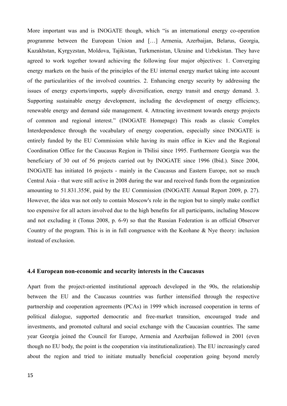More important was and is INOGATE though, which "is an international energy co-operation programme between the European Union and […] Armenia, Azerbaijan, Belarus, Georgia, Kazakhstan, Kyrgyzstan, Moldova, Tajikistan, Turkmenistan, Ukraine and Uzbekistan. They have agreed to work together toward achieving the following four major objectives: 1. Converging energy markets on the basis of the principles of the EU internal energy market taking into account of the particularities of the involved countries. 2. Enhancing energy security by addressing the issues of energy exports/imports, supply diversification, energy transit and energy demand. 3. Supporting sustainable energy development, including the development of energy efficiency, renewable energy and demand side management. 4. Attracting investment towards energy projects of common and regional interest." (INOGATE Homepage) This reads as classic Complex Interdependence through the vocabulary of energy cooperation, especially since INOGATE is entirely funded by the EU Commission while having its main office in Kiev and the Regional Coordination Office for the Caucasus Region in Tbilisi since 1995. Furthermore Georgia was the beneficiary of 30 out of 56 projects carried out by INOGATE since 1996 (Ibid.). Since 2004, INOGATE has initiated 16 projects - mainly in the Caucasus and Eastern Europe, not so much Central Asia - that were still active in 2008 during the war and received funds from the organization amounting to 51.831.355€, paid by the EU Commission (INOGATE Annual Report 2009, p. 27). However, the idea was not only to contain Moscow's role in the region but to simply make conflict too expensive for all actors involved due to the high benefits for all participants, including Moscow and not excluding it (Tonus 2008, p. 6-9) so that the Russian Federation is an official Observer Country of the program. This is in in full congruence with the Keohane & Nye theory: inclusion instead of exclusion.

#### **4.4 European non-economic and security interests in the Caucasus**

Apart from the project-oriented institutional approach developed in the 90s, the relationship between the EU and the Caucasus countries was further intensified through the respective partnership and cooperation agreements (PCAs) in 1999 which increased cooperation in terms of political dialogue, supported democratic and free-market transition, encouraged trade and investments, and promoted cultural and social exchange with the Caucasian countries. The same year Georgia joined the Council for Europe, Armenia and Azerbaijan followed in 2001 (even though no EU body, the point is the cooperation via institutionalization). The EU increasingly cared about the region and tried to initiate mutually beneficial cooperation going beyond merely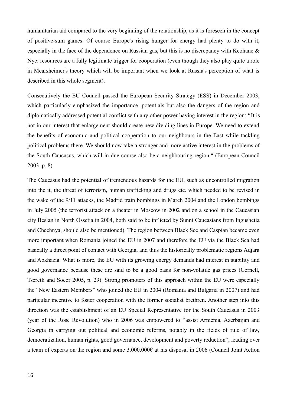humanitarian aid compared to the very beginning of the relationship, as it is foreseen in the concept of positive-sum games. Of course Europe's rising hunger for energy had plenty to do with it, especially in the face of the dependence on Russian gas, but this is no discrepancy with Keohane & Nye: resources are a fully legitimate trigger for cooperation (even though they also play quite a role in Mearsheimer's theory which will be important when we look at Russia's perception of what is described in this whole segment).

Consecutively the EU Council passed the European Security Strategy (ESS) in December 2003, which particularly emphasized the importance, potentials but also the dangers of the region and diplomatically addressed potential conflict with any other power having interest in the region: "It is not in our interest that enlargement should create new dividing lines in Europe. We need to extend the benefits of economic and political cooperation to our neighbours in the East while tackling political problems there. We should now take a stronger and more active interest in the problems of the South Caucasus, which will in due course also be a neighbouring region." (European Council 2003, p. 8)

The Caucasus had the potential of tremendous hazards for the EU, such as uncontrolled migration into the it, the threat of terrorism, human trafficking and drugs etc. which needed to be revised in the wake of the 9/11 attacks, the Madrid train bombings in March 2004 and the London bombings in July 2005 (the terrorist attack on a theater in Moscow in 2002 and on a school in the Caucasian city Beslan in North Ossetia in 2004, both said to be inflicted by Sunni Caucasians from Ingushetia and Chechnya, should also be mentioned). The region between Black See and Caspian became even more important when Romania joined the EU in 2007 and therefore the EU via the Black Sea had basically a direct point of contact with Georgia, and thus the historically problematic regions Adjara and Abkhazia. What is more, the EU with its growing energy demands had interest in stability and good governance because these are said to be a good basis for non-volatile gas prices (Cornell, Tseretli and Socor 2005, p. 29). Strong promoters of this approach within the EU were especially the "New Eastern Members" who joined the EU in 2004 (Romania and Bulgaria in 2007) and had particular incentive to foster cooperation with the former socialist brethren. Another step into this direction was the establishment of an EU Special Representative for the South Caucasus in 2003 (year of the Rose Revolution) who in 2006 was empowered to "assist Armenia, Azerbaijan and Georgia in carrying out political and economic reforms, notably in the fields of rule of law, democratization, human rights, good governance, development and poverty reduction", leading over a team of experts on the region and some 3.000.000€ at his disposal in 2006 (Council Joint Action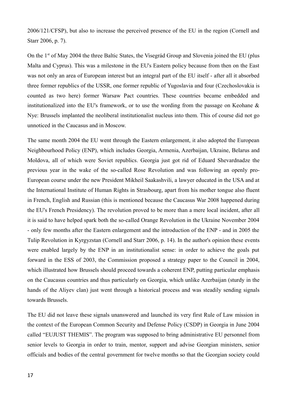2006/121/CFSP), but also to increase the perceived presence of the EU in the region (Cornell and Starr 2006, p. 7).

On the 1<sup>st</sup> of May 2004 the three Baltic States, the Visegrád Group and Slovenia joined the EU (plus Malta and Cyprus). This was a milestone in the EU's Eastern policy because from then on the East was not only an area of European interest but an integral part of the EU itself - after all it absorbed three former republics of the USSR, one former republic of Yugoslavia and four (Czechoslovakia is counted as two here) former Warsaw Pact countries. These countries became embedded and institutionalized into the EU's framework, or to use the wording from the passage on Keohane & Nye: Brussels implanted the neoliberal institutionalist nucleus into them. This of course did not go unnoticed in the Caucasus and in Moscow.

The same month 2004 the EU went through the Eastern enlargement, it also adopted the European Neighbourhood Policy (ENP), which includes Georgia, Armenia, Azerbaijan, Ukraine, Belarus and Moldova, all of which were Soviet republics. Georgia just got rid of Eduard Shevardnadze the previous year in the wake of the so-called Rose Revolution and was following an openly pro-European course under the new President Mikheil Saakashvili, a lawyer educated in the USA and at the International Institute of Human Rights in Strasbourg, apart from his mother tongue also fluent in French, English and Russian (this is mentioned because the Caucasus War 2008 happened during the EU's French Presidency). The revolution proved to be more than a mere local incident, after all it is said to have helped spark both the so-called Orange Revolution in the Ukraine November 2004 - only few months after the Eastern enlargement and the introduction of the ENP - and in 2005 the Tulip Revolution in Kyrgyzstan (Cornell and Starr 2006, p. 14). In the author's opinion these events were enabled largely by the ENP in an institutionalist sense: in order to achieve the goals put forward in the ESS of 2003, the Commission proposed a strategy paper to the Council in 2004, which illustrated how Brussels should proceed towards a coherent ENP, putting particular emphasis on the Caucasus countries and thus particularly on Georgia, which unlike Azerbaijan (sturdy in the hands of the Aliyev clan) just went through a historical process and was steadily sending signals towards Brussels.

The EU did not leave these signals unanswered and launched its very first Rule of Law mission in the context of the European Common Security and Defense Policy (CSDP) in Georgia in June 2004 called "EUJUST THEMIS". The program was supposed to bring administrative EU personnel from senior levels to Georgia in order to train, mentor, support and advise Georgian ministers, senior officials and bodies of the central government for twelve months so that the Georgian society could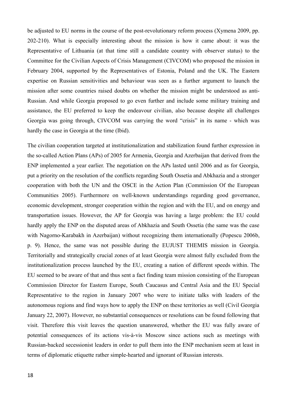be adjusted to EU norms in the course of the post-revolutionary reform process (Xymena 2009, pp. 202-210). What is especially interesting about the mission is how it came about: it was the Representative of Lithuania (at that time still a candidate country with observer status) to the Committee for the Civilian Aspects of Crisis Management (CIVCOM) who proposed the mission in February 2004, supported by the Representatives of Estonia, Poland and the UK. The Eastern expertise on Russian sensitivities and behaviour was seen as a further argument to launch the mission after some countries raised doubts on whether the mission might be understood as anti-Russian. And while Georgia proposed to go even further and include some military training and assistance, the EU preferred to keep the endeavour civilian, also because despite all challenges Georgia was going through, CIVCOM was carrying the word "crisis" in its name - which was hardly the case in Georgia at the time (Ibid).

The civilian cooperation targeted at institutionalization and stabilization found further expression in the so-called Action Plans (APs) of 2005 for Armenia, Georgia and Azerbaijan that derived from the ENP implemented a year earlier. The negotiation on the APs lasted until 2006 and as for Georgia, put a priority on the resolution of the conflicts regarding South Ossetia and Abkhazia and a stronger cooperation with both the UN and the OSCE in the Action Plan (Commission Of the European Communities 2005). Furthermore on well-known understandings regarding good governance, economic development, stronger cooperation within the region and with the EU, and on energy and transportation issues. However, the AP for Georgia was having a large problem: the EU could hardly apply the ENP on the disputed areas of Abkhazia and South Ossetia (the same was the case with Nagorno-Karabakh in Azerbaijan) without recognizing them internationally (Popescu 2006b, p. 9). Hence, the same was not possible during the EUJUST THEMIS mission in Georgia. Territorially and strategically crucial zones of at least Georgia were almost fully excluded from the institutionalization process launched by the EU, creating a nation of different speeds within. The EU seemed to be aware of that and thus sent a fact finding team mission consisting of the European Commission Director for Eastern Europe, South Caucasus and Central Asia and the EU Special Representative to the region in January 2007 who were to initiate talks with leaders of the autonomous regions and find ways how to apply the ENP on these territories as well (Civil Georgia January 22, 2007). However, no substantial consequences or resolutions can be found following that visit. Therefore this visit leaves the question unanswered, whether the EU was fully aware of potential consequences of its actions vis-à-vis Moscow since actions such as meetings with Russian-backed secessionist leaders in order to pull them into the ENP mechanism seem at least in terms of diplomatic etiquette rather simple-hearted and ignorant of Russian interests.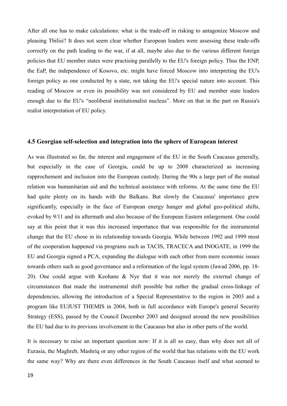After all one has to make calculations: what is the trade-off in risking to antagonize Moscow and pleasing Tbilisi? It does not seem clear whether European leaders were assessing these trade-offs correctly on the path leading to the war, if at all, maybe also due to the various different foreign policies that EU member states were practising parallelly to the EU's foreign policy. Thus the ENP, the EaP, the independence of Kosovo, etc. might have forced Moscow into interpreting the EU's foreign policy as one conducted by a state, not taking the EU's special nature into account. This reading of Moscow or even its possibility was not considered by EU and member state leaders enough due to the EU's "neoliberal institutionalist nucleus". More on that in the part on Russia's realist interpretation of EU policy.

#### **4.5 Georgian self-selection and integration into the sphere of European interest**

As was illustrated so far, the interest and engagement of the EU in the South Caucasus generally, but especially in the case of Georgia, could be up to 2008 characterized as increasing rapprochement and inclusion into the European custody. During the 90s a large part of the mutual relation was humanitarian aid and the technical assistance with reforms. At the same time the EU had quite plenty on its hands with the Balkans. But slowly the Caucasus' importance grew significantly, especially in the face of European energy hunger and global geo-political shifts, evoked by 9/11 and its aftermath and also because of the European Eastern enlargement. One could say at this point that it was this increased importance that was responsible for the instrumental change that the EU chose in its relationship towards Georgia. While between 1992 and 1999 most of the cooperation happened via programs such as TACIS, TRACECA and INOGATE, in 1999 the EU and Georgia signed a PCA, expanding the dialogue with each other from mere economic issues towards others such as good governance and a reformation of the legal system (Jawad 2006, pp. 18- 20). One could argue with Keohane & Nye that it was not merely the external change of circumstances that made the instrumental shift possible but rather the gradual cross-linkage of dependencies, allowing the introduction of a Special Representative to the region in 2003 and a program like EUJUST THEMIS in 2004, both in full accordance with Europe's general Security Strategy (ESS), passed by the Council December 2003 and designed around the new possibilities the EU had due to its previous involvement in the Caucasus but also in other parts of the world.

It is necessary to raise an important question now: If it is all so easy, than why does not all of Eurasia, the Maghreb, Mashriq or any other region of the world that has relations with the EU work the same way? Why are there even differences in the South Caucasus itself and what seemed to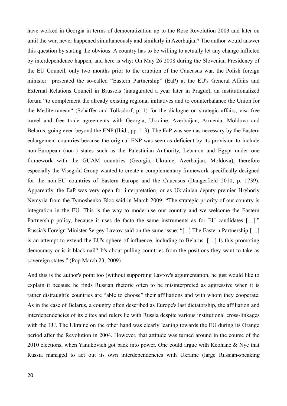have worked in Georgia in terms of democratization up to the Rose Revolution 2003 and later on until the war, never happened simultaneously and similarly in Azerbaijan? The author would answer this question by stating the obvious: A country has to be willing to actually let any change inflicted by interdependence happen, and here is why: On May 26 2008 during the Slovenian Presidency of the EU Council, only two months prior to the eruption of the Caucasus war, the Polish foreign minister presented the so-called "Eastern Partnership" (EaP) at the EU's General Affairs and External Relations Council in Brussels (inaugurated a year later in Prague), an institutionalized forum "to complement the already existing regional initiatives and to counterbalance the Union for the Mediterranean" (Schäffer and Tolksdorf, p. 1) for the dialogue on strategic affairs, visa-free travel and free trade agreements with Georgia, Ukraine, Azerbaijan, Armenia, Moldova and Belarus, going even beyond the ENP (Ibid., pp. 1-3). The EaP was seen as necessary by the Eastern enlargement countries because the original ENP was seen as deficient by its provision to include non-European (non-) states such as the Palestinian Authority, Lebanon and Egypt under one framework with the GUAM countries (Georgia, Ukraine, Azerbaijan, Moldova), therefore especially the Visegrád Group wanted to create a complementary framework specifically designed for the non-EU countries of Eastern Europe and the Caucasus (Dangerfield 2010, p. 1739). Apparently, the EaP was very open for interpretation, or as Ukrainian deputy premier Hryhoriy Nemyria from the Tymoshenko Bloc said in March 2009: "The strategic priority of our country is integration in the EU. This is the way to modernise our country and we welcome the Eastern Partnership policy, because it uses de facto the same instruments as for EU candidates [...]." Russia's Foreign Minister Sergey Lavrov said on the same issue: "[...] The Eastern Partnership […] is an attempt to extend the EU's sphere of influence, including to Belarus. […] Is this promoting democracy or is it blackmail? It's about pulling countries from the positions they want to take as sovereign states." (Pop March 23, 2009)

And this is the author's point too (without supporting Lavrov's argumentation, he just would like to explain it because he finds Russian rhetoric often to be misinterpreted as aggressive when it is rather distraught): countries are "able to choose" their affiliations and with whom they cooperate. As in the case of Belarus, a country often described as Europe's last dictatorship, the affiliation and interdependencies of its elites and rulers lie with Russia despite various institutional cross-linkages with the EU. The Ukraine on the other hand was clearly leaning towards the EU during its Orange period after the Revolution in 2004. However, that attitude was turned around in the course of the 2010 elections, when Yanukovich got back into power. One could argue with Keohane & Nye that Russia managed to act out its own interdependencies with Ukraine (large Russian-speaking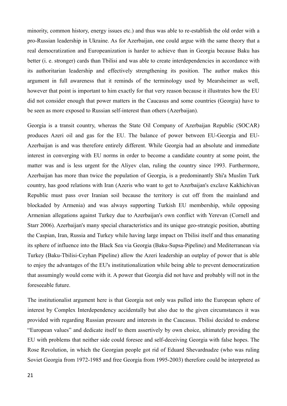minority, common history, energy issues etc.) and thus was able to re-establish the old order with a pro-Russian leadership in Ukraine. As for Azerbaijan, one could argue with the same theory that a real democratization and Europeanization is harder to achieve than in Georgia because Baku has better (i. e. stronger) cards than Tbilisi and was able to create interdependencies in accordance with its authoritarian leadership and effectively strengthening its position. The author makes this argument in full awareness that it reminds of the terminology used by Mearsheimer as well, however that point is important to him exactly for that very reason because it illustrates how the EU did not consider enough that power matters in the Caucasus and some countries (Georgia) have to be seen as more exposed to Russian self-interest than others (Azerbaijan).

Georgia is a transit country, whereas the State Oil Company of Azerbaijan Republic (SOCAR) produces Azeri oil and gas for the EU. The balance of power between EU-Georgia and EU-Azerbaijan is and was therefore entirely different. While Georgia had an absolute and immediate interest in converging with EU norms in order to become a candidate country at some point, the matter was and is less urgent for the Aliyev clan, ruling the country since 1993. Furthermore, Azerbaijan has more than twice the population of Georgia, is a predominantly Shi'a Muslim Turk country, has good relations with Iran (Azeris who want to get to Azerbaijan's exclave Kakhichivan Republic must pass over Iranian soil because the territory is cut off from the mainland and blockaded by Armenia) and was always supporting Turkish EU membership, while opposing Armenian allegations against Turkey due to Azerbaijan's own conflict with Yerevan (Cornell and Starr 2006). Azerbaijan's many special characteristics and its unique geo-strategic position, abutting the Caspian, Iran, Russia and Turkey while having large impact on Tbilisi itself and thus emanating its sphere of influence into the Black Sea via Georgia (Baku-Supsa-Pipeline) and Mediterranean via Turkey (Baku-Tbilisi-Ceyhan Pipeline) allow the Azeri leadership an outplay of power that is able to enjoy the advantages of the EU's institutionalization while being able to prevent democratization that assumingly would come with it. A power that Georgia did not have and probably will not in the foreseeable future.

The institutionalist argument here is that Georgia not only was pulled into the European sphere of interest by Complex Interdependency accidentally but also due to the given circumstances it was provided with regarding Russian pressure and interests in the Caucasus. Tbilisi decided to endorse "European values" and dedicate itself to them assertively by own choice, ultimately providing the EU with problems that neither side could foresee and self-deceiving Georgia with false hopes. The Rose Revolution, in which the Georgian people got rid of Eduard Shevardnadze (who was ruling Soviet Georgia from 1972-1985 and free Georgia from 1995-2003) therefore could be interpreted as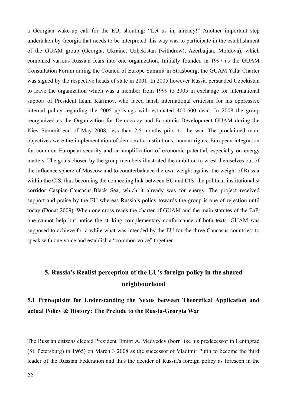a Georgian wake-up call for the EU, shouting: "Let us in, already!" Another important step undertaken by Georgia that needs to be interpreted this way was to participate in the establishment of the GUAM group (Georgia, Ukraine, Uzbekistan (withdrew), Azerbaijan, Moldova), which combined various Russian fears into one organization. Initially founded in 1997 as the GUAM Consultation Forum during the Council of Europe Summit in Strasbourg, the GUAM Yalta Charter was signed by the respective heads of state in 2001. In 2005 however Russia persuaded Uzbekistan to leave the organization which was a member from 1999 to 2005 in exchange for international support of President Islam Karimov, who faced harsh international criticism for his oppressive internal policy regarding the 2005 uprisings with estimated 400-600 dead. In 2008 the group reorganized as the Organization for Democracy and Economic Development GUAM during the Kiev Summit end of May 2008, less than 2,5 months prior to the war. The proclaimed main objectives were the implementation of democratic institutions, human rights, European integration for common European security and an amplification of economic potential, especially on energy matters. The goals chosen by the group members illustrated the ambition to wrest themselves out of the influence sphere of Moscow and to counterbalance the own weight against the weight of Russia within the CIS, thus becoming the connecting link between EU and CIS- the political-institutionalist corridor Caspian-Caucasus-Black Sea, which it already was for energy. The project received support and praise by the EU whereas Russia's policy towards the group is one of rejection until today (Donat 2009). When one cross-reads the charter of GUAM and the main statutes of the EaP, one cannot help but notice the striking complementary conformance of both texts. GUAM was supposed to achieve for a while what was intended by the EU for the three Caucasus countries: to speak with one voice and establish a "common voice" together.

## **5. Russia's Realist perception of the EU's foreign policy in the shared neighbourhood**

## **5.1 Prerequisite for Understanding the Nexus between Theoretical Application and actual Policy & History: The Prelude to the Russia-Georgia War**

The Russian citizens elected President Dmitri A. Medvedev (born like his predecessor in Leningrad (St. Petersburg) in 1965) on March 3 2008 as the successor of Vladimir Putin to become the third leader of the Russian Federation and thus the decider of Russia's foreign policy as foreseen in the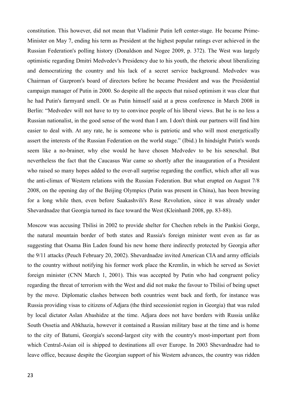constitution. This however, did not mean that Vladimir Putin left center-stage. He became Prime-Minister on May 7, ending his term as President at the highest popular ratings ever achieved in the Russian Federation's polling history (Donaldson and Nogee 2009, p. 372). The West was largely optimistic regarding Dmitri Medvedev's Presidency due to his youth, the rhetoric about liberalizing and democratizing the country and his lack of a secret service background. Medvedev was Chairman of Gazprom's board of directors before he became President and was the Presidential campaign manager of Putin in 2000. So despite all the aspects that raised optimism it was clear that he had Putin's farmyard smell. Or as Putin himself said at a press conference in March 2008 in Berlin: "Medvedev will not have to try to convince people of his liberal views. But he is no less a Russian nationalist, in the good sense of the word than I am. I don't think our partners will find him easier to deal with. At any rate, he is someone who is patriotic and who will most energetically assert the interests of the Russian Federation on the world stage." (Ibid.) In hindsight Putin's words seem like a no-brainer, why else would he have chosen Medvedev to be his seneschal. But nevertheless the fact that the Caucasus War came so shortly after the inauguration of a President who raised so many hopes added to the over-all surprise regarding the conflict, which after all was the anti-climax of Western relations with the Russian Federation. But what erupted on August 7/8 2008, on the opening day of the Beijing Olympics (Putin was present in China), has been brewing for a long while then, even before Saakashvili's Rose Revolution, since it was already under Shevardnadze that Georgia turned its face toward the West (Kleinhanß 2008, pp. 83-88).

Moscow was accusing Tbilisi in 2002 to provide shelter for Chechen rebels in the Pankisi Gorge, the natural mountain border of both states and Russia's foreign minister went even as far as suggesting that Osama Bin Laden found his new home there indirectly protected by Georgia after the 9/11 attacks (Peuch February 20, 2002). Shevardnadze invited American CIA and army officials to the country without notifying his former work place the Kremlin, in which he served as Soviet foreign minister (CNN March 1, 2001). This was accepted by Putin who had congruent policy regarding the threat of terrorism with the West and did not make the favour to Tbilisi of being upset by the move. Diplomatic clashes between both countries went back and forth, for instance was Russia providing visas to citizens of Adjara (the third secessionist region in Georgia) that was ruled by local dictator Aslan Abashidze at the time. Adjara does not have borders with Russia unlike South Ossetia and Abkhazia, however it contained a Russian military base at the time and is home to the city of Batumi, Georgia's second-largest city with the country's most-important port from which Central-Asian oil is shipped to destinations all over Europe. In 2003 Shevardnadze had to leave office, because despite the Georgian support of his Western advances, the country was ridden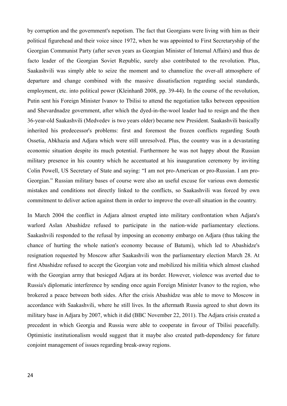by corruption and the government's nepotism. The fact that Georgians were living with him as their political figurehead and their voice since 1972, when he was appointed to First Secretaryship of the Georgian Communist Party (after seven years as Georgian Minister of Internal Affairs) and thus de facto leader of the Georgian Soviet Republic, surely also contributed to the revolution. Plus, Saakashvili was simply able to seize the moment and to channelize the over-all atmosphere of departure and change combined with the massive dissatisfaction regarding social standards, employment, etc. into political power (Kleinhanß 2008, pp. 39-44). In the course of the revolution, Putin sent his Foreign Minister Ivanov to Tbilisi to attend the negotiation talks between opposition and Shevardnadze government, after which the dyed-in-the-wool leader had to resign and the then 36-year-old Saakashvili (Medvedev is two years older) became new President. Saakashvili basically inherited his predecessor's problems: first and foremost the frozen conflicts regarding South Ossetia, Abkhazia and Adjara which were still unresolved. Plus, the country was in a devastating economic situation despite its much potential. Furthermore he was not happy about the Russian military presence in his country which he accentuated at his inauguration ceremony by inviting Colin Powell, US Secretary of State and saying: "I am not pro-American or pro-Russian. I am pro-Georgian." Russian military bases of course were also an useful excuse for various own domestic mistakes and conditions not directly linked to the conflicts, so Saakashvili was forced by own commitment to deliver action against them in order to improve the over-all situation in the country.

In March 2004 the conflict in Adjara almost erupted into military confrontation when Adjara's warlord Aslan Abashidze refused to participate in the nation-wide parliamentary elections. Saakashvili responded to the refusal by imposing an economy embargo on Adjara (thus taking the chance of hurting the whole nation's economy because of Batumi), which led to Abashidze's resignation requested by Moscow after Saakashvili won the parliamentary election March 28. At first Abashidze refused to accept the Georgian vote and mobilized his militia which almost clashed with the Georgian army that besieged Adjara at its border. However, violence was averted due to Russia's diplomatic interference by sending once again Foreign Minister Ivanov to the region, who brokered a peace between both sides. After the crisis Abashidze was able to move to Moscow in accordance with Saakashvili, where he still lives. In the aftermath Russia agreed to shut down its military base in Adjara by 2007, which it did (BBC November 22, 2011). The Adjara crisis created a precedent in which Georgia and Russia were able to cooperate in favour of Tbilisi peacefully. Optimistic institutionalism would suggest that it maybe also created path-dependency for future conjoint management of issues regarding break-away regions.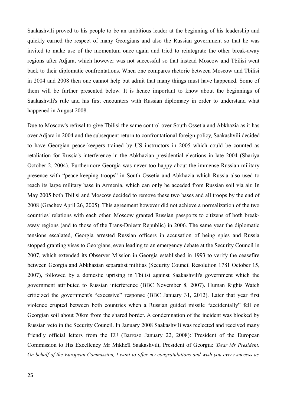Saakashvili proved to his people to be an ambitious leader at the beginning of his leadership and quickly earned the respect of many Georgians and also the Russian government so that he was invited to make use of the momentum once again and tried to reintegrate the other break-away regions after Adjara, which however was not successful so that instead Moscow and Tbilisi went back to their diplomatic confrontations. When one compares rhetoric between Moscow and Tbilisi in 2004 and 2008 then one cannot help but admit that many things must have happened. Some of them will be further presented below. It is hence important to know about the beginnings of Saakashvili's rule and his first encounters with Russian diplomacy in order to understand what happened in August 2008.

<span id="page-27-1"></span><span id="page-27-0"></span>Due to Moscow's refusal to give Tbilisi the same control over South Ossetia and Abkhazia as it has over Adjara in 2004 and the subsequent return to confrontational foreign policy, Saakashvili decided to have Georgian peace-keepers trained by US instructors in 2005 which could be counted as retaliation for Russia's interference in the Abkhazian presidential elections in late 2004 (Shariya October 2, 2004). Furthermore Georgia was never too happy about the immense Russian military presence with "peace-keeping troops" in South Ossetia and Abkhazia which Russia also used to reach its large military base in Armenia, which can only be acceded from Russian soil via air. In May 2005 both Tbilisi and Moscow decided to remove these two bases and all troops by the end of 2008 (Grachev April 26, 2005). This agreement however did not achieve a normalization of the two countries' relations with each other. Moscow granted Russian passports to citizens of both breakaway regions (and to those of the Trans-Dniestr Republic) in 2006. The same year the diplomatic tensions escalated, Georgia arrested Russian officers in accusation of being spies and Russia stopped granting visas to Georgians, even leading to an emergency debate at the Security Council in 2007, which extended its Observer Mission in Georgia established in 1993 to verify the ceasefire between Georgia and Abkhazian separatist militias (Security Council Resolution 1781 October 15, 2007), followed by a domestic uprising in Tbilisi against Saakashvili's government which the government attributed to Russian interference (BBC November 8, 2007). Human Rights Watch criticized the government's "excessive" response (BBC January 31, 2012). Later that year first violence erupted between both countries when a Russian guided missile "accidentally" fell on Georgian soil about 70km from the shared border. A condemnation of the incident was blocked by Russian veto in the Security Council. In January 2008 Saakashvili was reelected and received many friendly official letters from the EU (Barroso January 22, 2008):*"*President of the European Commission to His Excellency Mr Mikheïl Saakashvili, President of Georgia:*"Dear Mr President, On behalf of the European Commission, I want to offer my congratulations and wish you every success as*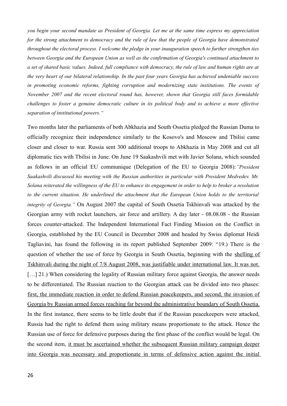*you begin your second mandate as President of Georgia. Let me at the same time express my appreciation for the strong attachment to democracy and the rule of law that the people of Georgia have demonstrated throughout the electoral process. I welcome the pledge in your inauguration speech to further strengthen ties between Georgia and the European Union as well as the confirmation of Georgia's continued attachment to a set of shared basic values. Indeed, full compliance with democracy, the rule of law and human rights are at the very heart of our bilateral relationship. In the past four years Georgia has achieved undeniable success in promoting economic reforms, fighting corruption and modernizing state institutions. The events of November 2007 and the recent electoral round has, however, shown that Georgia still faces formidable challenges to foster a genuine democratic culture in its political body and to achieve a more effective separation of institutional powers."* 

<span id="page-28-0"></span>Two months later the parliaments of both Abkhazia and South Ossetia pledged the Russian Duma to officially recognize their independence similarly to the Kosovo's and Moscow and Tbilisi came closer and closer to war. Russia sent 300 additional troops to Abkhazia in May 2008 and cut all diplomatic ties with Tbilisi in June. On June 19 Saakashvili met with Javier Solana, which sounded as follows in an official EU communique (Delegation of the EU to Georgia 2008):*"President Saakashvili discussed his meeting with the Russian authorities in particular with President Medvedev. Mr. Solana reiterated the willingness of the EU to enhance its engagement in order to help to broker a resolution to the current situation. He underlined the attachment that the European Union holds to the territorial integrity of Georgia."* On August 2007 the capital of South Ossetia Tskhinvali was attacked by the Georgian army with rocket launchers, air force and artillery. A day later - 08.08.08 - the Russian forces counter-attacked. The Independent International Fact Finding Mission on the Conflict in Georgia, established by the EU Council in December 2008 and headed by Swiss diplomat Heidi Tagliavini, has found the following in its report published September 2009: "19.) There is the question of whether the use of force by Georgia in South Ossetia, beginning with the shelling of Tskhinvali during the night of 7/8 August 2008, was justifiable under international law. It was not. [...] 21.) When considering the legality of Russian military force against Georgia, the answer needs to be differentiated. The Russian reaction to the Georgian attack can be divided into two phases: first, the immediate reaction in order to defend Russian peacekeepers, and second, the invasion of Georgia by Russian armed forces reaching far beyond the administrative boundary of South Ossetia. In the first instance, there seems to be little doubt that if the Russian peacekeepers were attacked, Russia had the right to defend them using military means proportionate to the attack. Hence the Russian use of force for defensive purposes during the first phase of the conflict would be legal. On the second item, it must be ascertained whether the subsequent Russian military campaign deeper into Georgia was necessary and proportionate in terms of defensive action against the initial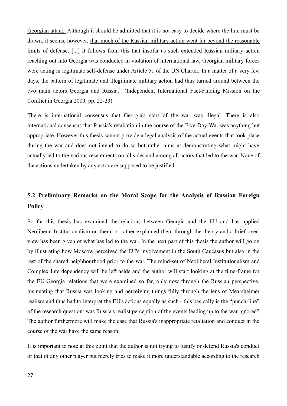Georgian attack. Although it should be admitted that it is not easy to decide where the line must be drawn, it seems, however, that much of the Russian military action went far beyond the reasonable limits of defense. [...] It follows from this that insofar as such extended Russian military action reaching out into Georgia was conducted in violation of international law, Georgian military forces were acting in legitimate self-defense under Article 51 of the UN Charter. In a matter of a very few days, the pattern of legitimate and illegitimate military action had thus turned around between the two main actors Georgia and Russia." (Independent International Fact-Finding Mission on the Conflict in Georgia 2009, pp. 22-23)

There is international consensus that Georgia's start of the war was illegal. There is also international consensus that Russia's retaliation in the course of the Five-Day-War was anything but appropriate. However this thesis cannot provide a legal analysis of the actual events that took place during the war and does not intend to do so but rather aims at demonstrating what might have actually led to the various resentments on all sides and among all actors that led to the war. None of the actions undertaken by any actor are supposed to be justified.

## **5.2 Preliminary Remarks on the Moral Scope for the Analysis of Russian Foreign Policy**

So far this thesis has examined the relations between Georgia and the EU and has applied Neoliberal Institutionalism on them, or rather explained them through the theory and a brief overview has been given of what has led to the war. In the next part of this thesis the author will go on by illustrating how Moscow perceived the EU's involvement in the South Caucasus but also in the rest of the shared neighbourhood prior to the war. The mind-set of Neoliberal Institutionalism and Complex Interdependency will be left aside and the author will start looking at the time-frame for the EU-Georgia relations that were examined so far, only now through the Russian perspective, insinuating that Russia was looking and perceiving things fully through the lens of Mearsheimer realism and thus had to interpret the EU's actions equally as such - this basically is the "punch-line" of the research question: was Russia's realist perception of the events leading up to the war ignored? The author furthermore will make the case that Russia's inappropriate retaliation and conduct in the course of the war have the same reason.

It is important to note at this point that the author is not trying to justify or defend Russia's conduct or that of any other player but merely tries to make it more understandable according to the research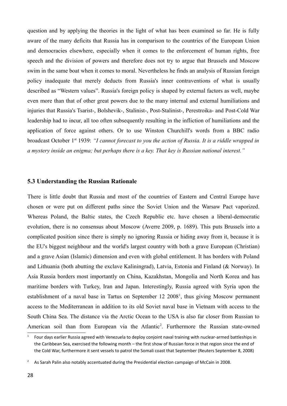question and by applying the theories in the light of what has been examined so far. He is fully aware of the many deficits that Russia has in comparison to the countries of the European Union and democracies elsewhere, especially when it comes to the enforcement of human rights, free speech and the division of powers and therefore does not try to argue that Brussels and Moscow swim in the same boat when it comes to moral. Nevertheless he finds an analysis of Russian foreign policy inadequate that merely deducts from Russia's inner contraventions of what is usually described as "Western values". Russia's foreign policy is shaped by external factors as well, maybe even more than that of other great powers due to the many internal and external humiliations and injuries that Russia's Tsarist-, Bolshevik-, Stalinist-, Post-Stalinist-, Perestroika- and Post-Cold War leadership had to incur, all too often subsequently resulting in the infliction of humiliations and the application of force against others. Or to use Winston Churchill's words from a BBC radio broadcast October 1<sup>st</sup> 1939: *"I cannot forecast to you the action of Russia. It is a riddle wrapped in a mystery inside an enigma; but perhaps there is a key. That key is Russian national interest."*

#### **5.3 Understanding the Russian Rationale**

There is little doubt that Russia and most of the countries of Eastern and Central Europe have chosen or were put on different paths since the Soviet Union and the Warsaw Pact vaporized. Whereas Poland, the Baltic states, the Czech Republic etc. have chosen a liberal-democratic evolution, there is no consensus about Moscow (Averre 2009, p. 1689). This puts Brussels into a complicated position since there is simply no ignoring Russia or hiding away from it, because it is the EU's biggest neighbour and the world's largest country with both a grave European (Christian) and a grave Asian (Islamic) dimension and even with global entitlement. It has borders with Poland and Lithuania (both abutting the exclave Kaliningrad), Latvia, Estonia and Finland (& Norway). In Asia Russia borders most importantly on China, Kazakhstan, Mongolia and North Korea and has maritime borders with Turkey, Iran and Japan. Interestingly, Russia agreed with Syria upon the establishment of a naval base in Tartus on September [1](#page-27-0)2 2008<sup>1</sup>, thus giving Moscow permanent access to the Mediterranean in addition to its old Soviet naval base in Vietnam with access to the South China Sea. The distance via the Arctic Ocean to the USA is also far closer from Russian to American soil than from European via the Atlantic<sup>[2](#page-27-1)</sup>. Furthermore the Russian state-owned

<span id="page-30-0"></span><sup>1</sup> Four days earlier Russia agreed with Venezuela to deploy conjoint naval training with nuclear-armed battleships in the Caribbean Sea, exercised the following month – the first show of Russian force in that region since the end of the Cold War, furthermore it sent vessels to patrol the Somali coast that September (Reuters September 8, 2008)

<span id="page-30-1"></span><sup>&</sup>lt;sup>2</sup> As Sarah Palin also notably accentuated during the Presidential election campaign of McCain in 2008.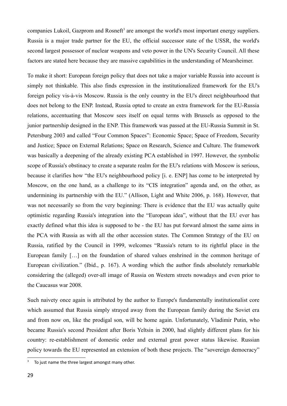companies Lukoil, Gazprom and Rosneft<sup>[3](#page-28-0)</sup> are amongst the world's most important energy suppliers. Russia is a major trade partner for the EU, the official successor state of the USSR, the world's second largest possessor of nuclear weapons and veto power in the UN's Security Council. All these factors are stated here because they are massive capabilities in the understanding of Mearsheimer.

To make it short: European foreign policy that does not take a major variable Russia into account is simply not thinkable. This also finds expression in the institutionalized framework for the EU's foreign policy vis-à-vis Moscow. Russia is the only country in the EU's direct neighbourhood that does not belong to the ENP. Instead, Russia opted to create an extra framework for the EU-Russia relations, accentuating that Moscow sees itself on equal terms with Brussels as opposed to the junior partnership designed in the ENP. This framework was passed at the EU-Russia Summit in St. Petersburg 2003 and called "Four Common Spaces": Economic Space; Space of Freedom, Security and Justice; Space on External Relations; Space on Research, Science and Culture. The framework was basically a deepening of the already existing PCA established in 1997. However, the symbolic scope of Russia's obstinacy to create a separate realm for the EU's relations with Moscow is serious, because it clarifies how "the EU's neighbourhood policy [i. e. ENP] has come to be interpreted by Moscow, on the one hand, as a challenge to its "CIS integration" agenda and, on the other, as undermining its partnership with the EU." (Allison, Light and White 2006, p. 168). However, that was not necessarily so from the very beginning: There is evidence that the EU was actually quite optimistic regarding Russia's integration into the "European idea", without that the EU ever has exactly defined what this idea is supposed to be - the EU has put forward almost the same aims in the PCA with Russia as with all the other accession states. The Common Strategy of the EU on Russia, ratified by the Council in 1999, welcomes "Russia's return to its rightful place in the European family […] on the foundation of shared values enshrined in the common heritage of European civilization." (Ibid., p. 167). A wording which the author finds absolutely remarkable considering the (alleged) over-all image of Russia on Western streets nowadays and even prior to the Caucasus war 2008.

Such naivety once again is attributed by the author to Europe's fundamentally institutionalist core which assumed that Russia simply strayed away from the European family during the Soviet era and from now on, like the prodigal son, will be home again. Unfortunately, Vladimir Putin, who became Russia's second President after Boris Yeltsin in 2000, had slightly different plans for his country: re-establishment of domestic order and external great power status likewise. Russian policy towards the EU represented an extension of both these projects. The "sovereign democracy"

 $3$  To just name the three largest amongst many other.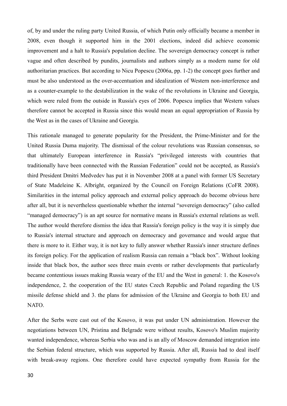of, by and under the ruling party United Russia, of which Putin only officially became a member in 2008, even though it supported him in the 2001 elections, indeed did achieve economic improvement and a halt to Russia's population decline. The sovereign democracy concept is rather vague and often described by pundits, journalists and authors simply as a modern name for old authoritarian practices. But according to Nicu Popescu (2006a, pp. 1-2) the concept goes further and must be also understood as the over-accentuation and idealization of Western non-interference and as a counter-example to the destabilization in the wake of the revolutions in Ukraine and Georgia, which were ruled from the outside in Russia's eyes of 2006. Popescu implies that Western values therefore cannot be accepted in Russia since this would mean an equal appropriation of Russia by the West as in the cases of Ukraine and Georgia.

This rationale managed to generate popularity for the President, the Prime-Minister and for the United Russia Duma majority. The dismissal of the colour revolutions was Russian consensus, so that ultimately European interference in Russia's "privileged interests with countries that traditionally have been connected with the Russian Federation" could not be accepted, as Russia's third President Dmitri Medvedev has put it in November 2008 at a panel with former US Secretary of State Madeleine K. Albright, organized by the Council on Foreign Relations (CoFR 2008). Similarities in the internal policy approach and external policy approach do become obvious here after all, but it is nevertheless questionable whether the internal "sovereign democracy" (also called "managed democracy") is an apt source for normative means in Russia's external relations as well. The author would therefore dismiss the idea that Russia's foreign policy is the way it is simply due to Russia's internal structure and approach on democracy and governance and would argue that there is more to it. Either way, it is not key to fully answer whether Russia's inner structure defines its foreign policy. For the application of realism Russia can remain a "black box". Without looking inside that black box, the author sees three main events or rather developments that particularly became contentious issues making Russia weary of the EU and the West in general: 1. the Kosovo's independence, 2. the cooperation of the EU states Czech Republic and Poland regarding the US missile defense shield and 3. the plans for admission of the Ukraine and Georgia to both EU and NATO.

After the Serbs were cast out of the Kosovo, it was put under UN administration. However the negotiations between UN, Pristina and Belgrade were without results, Kosovo's Muslim majority wanted independence, whereas Serbia who was and is an ally of Moscow demanded integration into the Serbian federal structure, which was supported by Russia. After all, Russia had to deal itself with break-away regions. One therefore could have expected sympathy from Russia for the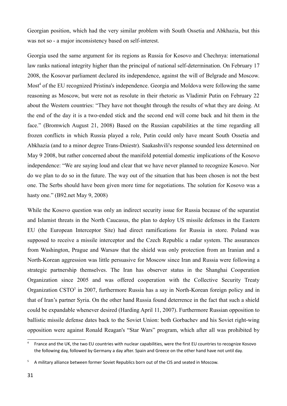Georgian position, which had the very similar problem with South Ossetia and Abkhazia, but this was not so - a major inconsistency based on self-interest.

Georgia used the same argument for its regions as Russia for Kosovo and Chechnya: international law ranks national integrity higher than the principal of national self-determination. On February 17 2008, the Kosovar parliament declared its independence, against the will of Belgrade and Moscow. Most<sup>[4](#page-30-0)</sup> of the EU recognized Pristina's independence. Georgia and Moldova were following the same reasoning as Moscow, but were not as resolute in their rhetoric as Vladimir Putin on February 22 about the Western countries: "They have not thought through the results of what they are doing. At the end of the day it is a two-ended stick and the second end will come back and hit them in the face." (Bromwich August 21, 2008) Based on the Russian capabilities at the time regarding all frozen conflicts in which Russia played a role, Putin could only have meant South Ossetia and Abkhazia (and to a minor degree Trans-Dniestr). Saakashvili's response sounded less determined on May 9 2008, but rather concerned about the manifold potential domestic implications of the Kosovo independence: "We are saying loud and clear that we have never planned to recognize Kosovo. Nor do we plan to do so in the future. The way out of the situation that has been chosen is not the best one. The Serbs should have been given more time for negotiations. The solution for Kosovo was a hasty one." (B92.net May 9, 2008)

While the Kosovo question was only an indirect security issue for Russia because of the separatist and Islamist threats in the North Caucasus, the plan to deploy US missile defenses in the Eastern EU (the European Interceptor Site) had direct ramifications for Russia in store. Poland was supposed to receive a missile interceptor and the Czech Republic a radar system. The assurances from Washington, Prague and Warsaw that the shield was only protection from an Iranian and a North-Korean aggression was little persuasive for Moscow since Iran and Russia were following a strategic partnership themselves. The Iran has observer status in the Shanghai Cooperation Organization since 2005 and was offered cooperation with the Collective Security Treaty Organization CSTO<sup>[5](#page-30-1)</sup> in 2007, furthermore Russia has a say in North-Korean foreign policy and in that of Iran's partner Syria. On the other hand Russia found deterrence in the fact that such a shield could be expandable whenever desired (Harding April 11, 2007). Furthermore Russian opposition to ballistic missile defense dates back to the Soviet Union: both Gorbachev and his Soviet right-wing opposition were against Ronald Reagan's "Star Wars" program, which after all was prohibited by

<sup>4</sup> France and the UK, the two EU countries with nuclear capabilities, were the first EU countries to recognize Kosovo the following day, followed by Germany a day after. Spain and Greece on the other hand have not until day.

<sup>5</sup> A military alliance between former Soviet Republics born out of the CIS and seated in Moscow.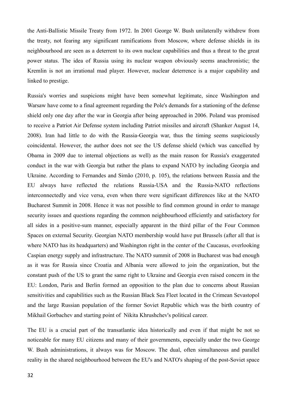the Anti-Ballistic Missile Treaty from 1972. In 2001 George W. Bush unilaterally withdrew from the treaty, not fearing any significant ramifications from Moscow, where defense shields in its neighbourhood are seen as a deterrent to its own nuclear capabilities and thus a threat to the great power status. The idea of Russia using its nuclear weapon obviously seems anachronistic; the Kremlin is not an irrational mad player. However, nuclear deterrence is a major capability and linked to prestige.

Russia's worries and suspicions might have been somewhat legitimate, since Washington and Warsaw have come to a final agreement regarding the Pole's demands for a stationing of the defense shield only one day after the war in Georgia after being approached in 2006. Poland was promised to receive a Patriot Air Defense system including Patriot missiles and aircraft (Shanker August 14, 2008). Iran had little to do with the Russia-Georgia war, thus the timing seems suspiciously coincidental. However, the author does not see the US defense shield (which was cancelled by Obama in 2009 due to internal objections as well) as the main reason for Russia's exaggerated conduct in the war with Georgia but rather the plans to expand NATO by including Georgia and Ukraine. According to Fernandes and Simão (2010, p. 105), the relations between Russia and the EU always have reflected the relations Russia-USA and the Russia-NATO reflections interconnectedly and vice versa, even when there were significant differences like at the NATO Bucharest Summit in 2008. Hence it was not possible to find common ground in order to manage security issues and questions regarding the common neighbourhood efficiently and satisfactory for all sides in a positive-sum manner, especially apparent in the third pillar of the Four Common Spaces on external Security. Georgian NATO membership would have put Brussels (after all that is where NATO has its headquarters) and Washington right in the center of the Caucasus, overlooking Caspian energy supply and infrastructure. The NATO summit of 2008 in Bucharest was bad enough as it was for Russia since Croatia and Albania were allowed to join the organization, but the constant push of the US to grant the same right to Ukraine and Georgia even raised concern in the EU: London, Paris and Berlin formed an opposition to the plan due to concerns about Russian sensitivities and capabilities such as the Russian Black Sea Fleet located in the Crimean Sevastopol and the large Russian population of the former Soviet Republic which was the birth country of Mikhail Gorbachev and starting point of Nikita Khrushchev's political career.

The EU is a crucial part of the transatlantic idea historically and even if that might be not so noticeable for many EU citizens and many of their governments, especially under the two George W. Bush administrations, it always was for Moscow. The dual, often simultaneous and parallel reality in the shared neighbourhood between the EU's and NATO's shaping of the post-Soviet space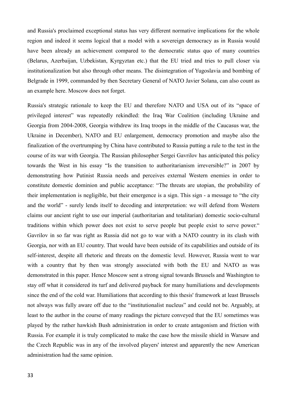and Russia's proclaimed exceptional status has very different normative implications for the whole region and indeed it seems logical that a model with a sovereign democracy as in Russia would have been already an achievement compared to the democratic status quo of many countries (Belarus, Azerbaijan, Uzbekistan, Kyrgyztan etc.) that the EU tried and tries to pull closer via institutionalization but also through other means. The disintegration of Yugoslavia and bombing of Belgrade in 1999, commanded by then Secretary General of NATO Javier Solana, can also count as an example here. Moscow does not forget.

Russia's strategic rationale to keep the EU and therefore NATO and USA out of its "space of privileged interest" was repeatedly rekindled: the Iraq War Coalition (including Ukraine and Georgia from 2004-2008, Georgia withdrew its Iraq troops in the middle of the Caucasus war, the Ukraine in December), NATO and EU enlargement, democracy promotion and maybe also the finalization of the overtrumping by China have contributed to Russia putting a rule to the test in the course of its war with Georgia. The Russian philosopher Sergei Gavrilov has anticipated this policy towards the West in his essay "Is the transition to authoritarianism irreversible?" in 2007 by demonstrating how Putinist Russia needs and perceives external Western enemies in order to constitute domestic dominion and public acceptance: "The threats are utopian, the probability of their implementation is negligible, but their emergence is a sign. This sign - a message to "the city and the world" - surely lends itself to decoding and interpretation: we will defend from Western claims our ancient right to use our imperial (authoritarian and totalitarian) domestic socio-cultural traditions within which power does not exist to serve people but people exist to serve power." Gavrilov in so far was right as Russia did not go to war with a NATO country in its clash with Georgia, nor with an EU country. That would have been outside of its capabilities and outside of its self-interest, despite all rhetoric and threats on the domestic level. However, Russia went to war with a country that by then was strongly associated with both the EU and NATO as was demonstrated in this paper. Hence Moscow sent a strong signal towards Brussels and Washington to stay off what it considered its turf and delivered payback for many humiliations and developments since the end of the cold war. Humiliations that according to this thesis' framework at least Brussels not always was fully aware off due to the "institutionalist nucleus" and could not be. Arguably, at least to the author in the course of many readings the picture conveyed that the EU sometimes was played by the rather hawkish Bush administration in order to create antagonism and friction with Russia. For example it is truly complicated to make the case how the missile shield in Warsaw and the Czech Republic was in any of the involved players' interest and apparently the new American administration had the same opinion.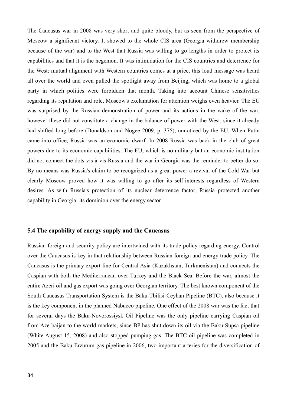The Caucasus war in 2008 was very short and quite bloody, but as seen from the perspective of Moscow a significant victory. It showed to the whole CIS area (Georgia withdrew membership because of the war) and to the West that Russia was willing to go lengths in order to protect its capabilities and that it is the hegemon. It was intimidation for the CIS countries and deterrence for the West: mutual alignment with Western countries comes at a price, this loud message was heard all over the world and even pulled the spotlight away from Beijing, which was home to a global party in which politics were forbidden that month. Taking into account Chinese sensitivities regarding its reputation and role, Moscow's exclamation for attention weighs even heavier. The EU was surprised by the Russian demonstration of power and its actions in the wake of the war, however these did not constitute a change in the balance of power with the West, since it already had shifted long before (Donaldson and Nogee 2009, p. 375), unnoticed by the EU. When Putin came into office, Russia was an economic dwarf. In 2008 Russia was back in the club of great powers due to its economic capabilities. The EU, which is no military but an economic institution did not connect the dots vis-à-vis Russia and the war in Georgia was the reminder to better do so. By no means was Russia's claim to be recognized as a great power a revival of the Cold War but clearly Moscow proved how it was willing to go after its self-interests regardless of Western desires. As with Russia's protection of its nuclear deterrence factor, Russia protected another capability in Georgia: its dominion over the energy sector.

#### **5.4 The capability of energy supply and the Caucasus**

Russian foreign and security policy are intertwined with its trade policy regarding energy. Control over the Caucasus is key in that relationship between Russian foreign and energy trade policy. The Caucasus is the primary export line for Central Asia (Kazakhstan, Turkmenistan) and connects the Caspian with both the Mediterranean over Turkey and the Black Sea. Before the war, almost the entire Azeri oil and gas export was going over Georgian territory. The best known component of the South Caucasus Transportation System is the Baku-Tbilisi-Ceyhan Pipeline (BTC), also because it is the key component in the planned Nabucco pipeline. One effect of the 2008 war was the fact that for several days the Baku-Novorossiysk Oil Pipeline was the only pipeline carrying Caspian oil from Azerbaijan to the world markets, since BP has shut down its oil via the Baku-Supsa pipeline (White August 15, 2008) and also stopped pumping gas. The BTC oil pipeline was completed in 2005 and the Baku-Erzurum gas pipeline in 2006, two important arteries for the diversification of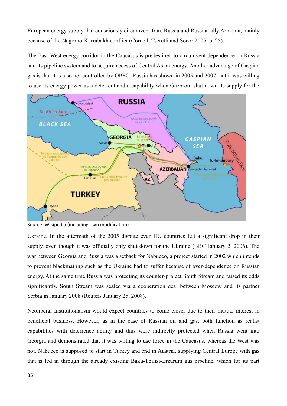European energy supply that consciously circumvent Iran, Russia and Russian ally Armenia, mainly because of the Nagorno-Karrabakh conflict (Cornell, Tseretli and Socor 2005, p. 25).

The East-West energy corridor in the Caucasus is predestined to circumvent dependence on Russia and its pipeline system and to acquire access of Central Asian energy. Another advantage of Caspian gas is that it is also not controlled by OPEC. Russia has shown in 2005 and 2007 that it was willing to use its energy power as a deterrent and a capability when Gazprom shut down its supply for the



Source: Wikipedia (including own modification)

Ukraine. In the aftermath of the 2005 dispute even EU countries felt a significant drop in their supply, even though it was officially only shut down for the Ukraine (BBC January 2, 2006). The war between Georgia and Russia was a setback for Nabucco, a project started in 2002 which intends to prevent blackmailing such as the Ukraine had to suffer because of over-dependence on Russian energy. At the same time Russia was protecting its counter-project South Stream and raised its odds significantly. South Stream was sealed via a cooperation deal between Moscow and its partner Serbia in January 2008 (Reuters January 25, 2008).

Neoliberal Institutionalism would expect countries to come closer due to their mutual interest in beneficial business. However, as in the case of Russian oil and gas, both function as realist capabilities with deterrence ability and thus were indirectly protected when Russia went into Georgia and demonstrated that it was willing to use force in the Caucasus, whereas the West was not. Nabucco is supposed to start in Turkey and end in Austria, supplying Central Europe with gas that is fed in through the already existing Baku-Tbilisi-Erzurum gas pipeline, which for its part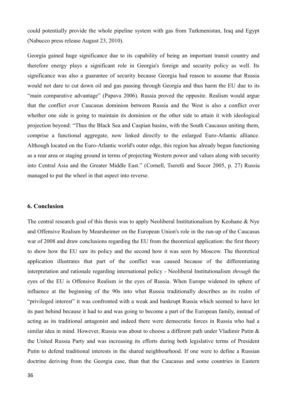could potentially provide the whole pipeline system with gas from Turkmenistan, Iraq and Egypt (Nabucco press release August 23, 2010).

Georgia gained huge significance due to its capability of being an important transit country and therefore energy plays a significant role in Georgia's foreign and security policy as well. Its significance was also a guarantee of security because Georgia had reason to assume that Russia would not dare to cut down oil and gas passing through Georgia and thus harm the EU due to its "main comparative advantage" (Papava 2006). Russia proved the opposite. Realism would argue that the conflict over Caucasus dominion between Russia and the West is also a conflict over whether one side is going to maintain its dominion or the other side to attain it with ideological projection beyond: "Thus the Black Sea and Caspian basins, with the South Caucasus uniting them, comprise a functional aggregate, now linked directly to the enlarged Euro-Atlantic alliance. Although located on the Euro-Atlantic world's outer edge, this region has already begun functioning as a rear area or staging ground in terms of projecting Western power and values along with security into Central Asia and the Greater Middle East." (Cornell, Tseretli and Socor 2005, p. 27) Russia managed to put the wheel in that aspect into reverse.

#### **6. Conclusion**

The central research goal of this thesis was to apply Neoliberal Institutionalism by Keohane & Nye and Offensive Realism by Mearsheimer on the European Union's role in the run-up of the Caucasus war of 2008 and draw conclusions regarding the EU from the theoretical application: the first theory to show how the EU saw its policy and the second how it was seen by Moscow. The theoretical application illustrates that part of the conflict was caused because of the differentiating interpretation and rationale regarding international policy - Neoliberal Institutionalism *through* the eyes of the EU is Offensive Realism *in* the eyes of Russia. When Europe widened its sphere of influence at the beginning of the 90s into what Russia traditionally describes as its realm of "privileged interest" it was confronted with a weak and bankrupt Russia which seemed to have let its past behind because it had to and was going to become a part of the European family, instead of acting as its traditional antagonist and indeed there were democratic forces in Russia who had a similar idea in mind. However, Russia was about to choose a different path under Vladimir Putin & the United Russia Party and was increasing its efforts during both legislative terms of President Putin to defend traditional interests in the shared neighbourhood. If one were to define a Russian doctrine deriving from the Georgia case, than that the Caucasus and some countries in Eastern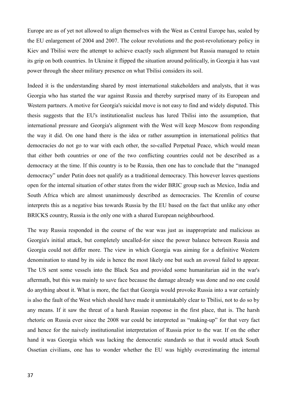Europe are as of yet not allowed to align themselves with the West as Central Europe has, sealed by the EU enlargement of 2004 and 2007. The colour revolutions and the post-revolutionary policy in Kiev and Tbilisi were the attempt to achieve exactly such alignment but Russia managed to retain its grip on both countries. In Ukraine it flipped the situation around politically, in Georgia it has vast power through the sheer military presence on what Tbilisi considers its soil.

Indeed it is the understanding shared by most international stakeholders and analysts, that it was Georgia who has started the war against Russia and thereby surprised many of its European and Western partners. A motive for Georgia's suicidal move is not easy to find and widely disputed. This thesis suggests that the EU's institutionalist nucleus has lured Tbilisi into the assumption, that international pressure and Georgia's alignment with the West will keep Moscow from responding the way it did. On one hand there is the idea or rather assumption in international politics that democracies do not go to war with each other, the so-called Perpetual Peace, which would mean that either both countries or one of the two conflicting countries could not be described as a democracy at the time. If this country is to be Russia, then one has to conclude that the "managed democracy" under Putin does not qualify as a traditional democracy. This however leaves questions open for the internal situation of other states from the wider BRIC group such as Mexico, India and South Africa which are almost unanimously described as democracies. The Kremlin of course interprets this as a negative bias towards Russia by the EU based on the fact that unlike any other BRICKS country, Russia is the only one with a shared European neighbourhood.

The way Russia responded in the course of the war was just as inappropriate and malicious as Georgia's initial attack, but completely uncalled-for since the power balance between Russia and Georgia could not differ more. The view in which Georgia was aiming for a definitive Western denomination to stand by its side is hence the most likely one but such an avowal failed to appear. The US sent some vessels into the Black Sea and provided some humanitarian aid in the war's aftermath, but this was mainly to save face because the damage already was done and no one could do anything about it. What is more, the fact that Georgia would provoke Russia into a war certainly is also the fault of the West which should have made it unmistakably clear to Tbilisi, not to do so by any means. If it saw the threat of a harsh Russian response in the first place, that is. The harsh rhetoric on Russia ever since the 2008 war could be interpreted as "making-up" for that very fact and hence for the naively institutionalist interpretation of Russia prior to the war. If on the other hand it was Georgia which was lacking the democratic standards so that it would attack South Ossetian civilians, one has to wonder whether the EU was highly overestimating the internal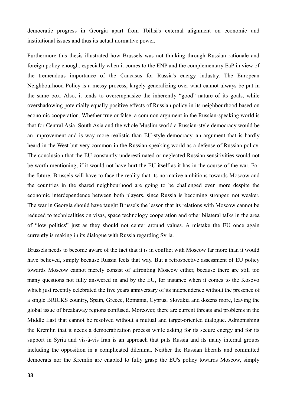democratic progress in Georgia apart from Tbilisi's external alignment on economic and institutional issues and thus its actual normative power.

Furthermore this thesis illustrated how Brussels was not thinking through Russian rationale and foreign policy enough, especially when it comes to the ENP and the complementary EaP in view of the tremendous importance of the Caucasus for Russia's energy industry. The European Neighbourhood Policy is a messy process, largely generalizing over what cannot always be put in the same box. Also, it tends to overemphasize the inherently "good" nature of its goals, while overshadowing potentially equally positive effects of Russian policy in its neighbourhood based on economic cooperation. Whether true or false, a common argument in the Russian-speaking world is that for Central Asia, South Asia and the whole Muslim world a Russian-style democracy would be an improvement and is way more realistic than EU-style democracy, an argument that is hardly heard in the West but very common in the Russian-speaking world as a defense of Russian policy. The conclusion that the EU constantly underestimated or neglected Russian sensitivities would not be worth mentioning, if it would not have hurt the EU itself as it has in the course of the war. For the future, Brussels will have to face the reality that its normative ambitions towards Moscow and the countries in the shared neighbourhood are going to be challenged even more despite the economic interdependence between both players, since Russia is becoming stronger, not weaker. The war in Georgia should have taught Brussels the lesson that its relations with Moscow cannot be reduced to technicalities on visas, space technology cooperation and other bilateral talks in the area of "low politics" just as they should not center around values. A mistake the EU once again currently is making in its dialogue with Russia regarding Syria.

Brussels needs to become aware of the fact that it is in conflict with Moscow far more than it would have believed, simply because Russia feels that way. But a retrospective assessment of EU policy towards Moscow cannot merely consist of affronting Moscow either, because there are still too many questions not fully answered in and by the EU, for instance when it comes to the Kosovo which just recently celebrated the five years anniversary of its independence without the presence of a single BRICKS country, Spain, Greece, Romania, Cyprus, Slovakia and dozens more, leaving the global issue of breakaway regions confused. Moreover, there are current threats and problems in the Middle East that cannot be resolved without a mutual and target-oriented dialogue. Admonishing the Kremlin that it needs a democratization process while asking for its secure energy and for its support in Syria and vis-à-vis Iran is an approach that puts Russia and its many internal groups including the opposition in a complicated dilemma. Neither the Russian liberals and committed democrats nor the Kremlin are enabled to fully grasp the EU's policy towards Moscow, simply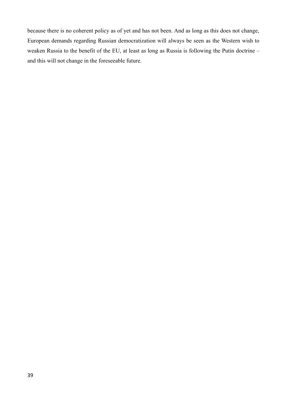because there is no coherent policy as of yet and has not been. And as long as this does not change, European demands regarding Russian democratization will always be seen as the Western wish to weaken Russia to the benefit of the EU, at least as long as Russia is following the Putin doctrine – and this will not change in the foreseeable future.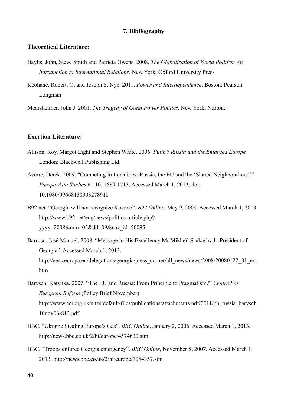#### **7. Bibliography**

#### **Theoretical Literature:**

- Baylis, John, Steve Smith and Patricia Owens. 2008. *The Globalization of World Politics: An Introduction to International Relations.* New York: Oxford University Press
- Keohane, Robert. O. and Joseph S. Nye. 2011. *Power and Interdependence*. Boston: Pearson Longman

Mearsheimer, John J. 2001. *The Tragedy of Great Power Politics*. New York: Norton.

#### **Exertion Literature:**

- Allison, Roy, Margot Light and Stephen White. 2006. *Putin's Russia and the Enlarged Europe.* London: Blackwell Publishing Ltd.
- Averre, Derek. 2009. "Competing Rationalities: Russia, the EU and the 'Shared Neighbourhood'" *Europe-Asia Studies* 61:10, 1689-1713. Accessed March 1, 2013. doi: 10.1080/09668130903278918
- B92.net. "Georgia will not recognize Kosovo". *B92 Online*, May 9, 2008. Accessed March 1, 2013. http://www.b92.net/eng/news/politics-article.php? yyyy=2008&mm=05&dd=09&nav\_id=50095
- Barroso, José Manuel. 2008. "Message to His Excellency Mr Mikheïl Saakashvili, President of Georgia". Accessed March 1, 2013. http://eeas.europa.eu/delegations/georgia/press\_corner/all\_news/news/2008/20080122\_01\_en. htm
- Barysch, Katynka. 2007. "The EU and Russia: From Principle to Pragmatism?" *Centre For European Reform* (Policy Brief November). http://www.cer.org.uk/sites/default/files/publications/attachments/pdf/2011/pb\_russia\_barysch\_ 10nov06-813.pdf
- BBC. "Ukraine Stealing Europe's Gas". *BBC Online*, January 2, 2006. Accessed March 1, 2013. http://news.bbc.co.uk/2/hi/europe/4574630.stm
- BBC. "Troops enforce Georgia emergency". *BBC Online*, November 8, 2007. Accessed March 1, 2013. http://news.bbc.co.uk/2/hi/europe/7084357.stm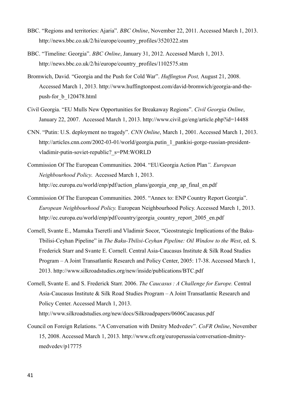- BBC. "Regions and territories: Ajaria". *BBC Online*, November 22, 2011. Accessed March 1, 2013. http://news.bbc.co.uk/2/hi/europe/country\_profiles/3520322.stm
- BBC. "Timeline: Georgia". *BBC Online*, January 31, 2012. Accessed March 1, 2013. http://news.bbc.co.uk/2/hi/europe/country\_profiles/1102575.stm
- Bromwich, David. "Georgia and the Push for Cold War". *Huffington Post,* August 21, 2008. Accessed March 1, 2013. http://www.huffingtonpost.com/david-bromwich/georgia-and-thepush-for\_b\_120478.html
- Civil Georgia. "EU Mulls New Opportunities for Breakaway Regions". *Civil Georgia Online*, January 22, 2007. Accessed March 1, 2013. http://www.civil.ge/eng/article.php?id=14488
- CNN. "Putin: U.S. deployment no tragedy". *CNN Online*, March 1, 2001. Accessed March 1, 2013. http://articles.cnn.com/2002-03-01/world/georgia.putin\_1\_pankisi-gorge-russian-presidentvladimir-putin-soviet-republic?\_s=PM:WORLD
- Commission Of The European Communities. 2004. "EU/Georgia Action Plan*". European Neighbourhood Policy*. Accessed March 1, 2013. http://ec.europa.eu/world/enp/pdf/action\_plans/georgia\_enp\_ap\_final\_en.pdf
- Commission Of The European Communities. 2005. "Annex to: ENP Country Report Georgia". *European Neighbourhood Policy.* European Neighbourhood Policy. Accessed March 1, 2013. http://ec.europa.eu/world/enp/pdf/country/georgia\_country\_report\_2005\_en.pdf
- Cornell, Svante E., Mamuka Tseretli and Vladimir Socor, "Geostrategic Implications of the Baku-Tbilisi-Ceyhan Pipeline" in *The Baku-Tbilisi-Ceyhan Pipeline: Oil Window to the West*, ed. S. Frederick Starr and Svante E. Cornell. Central Asia-Caucasus Institute & Silk Road Studies Program – A Joint Transatlantic Research and Policy Center, 2005: 17-38. Accessed March 1, 2013. http://www.silkroadstudies.org/new/inside/publications/BTC.pdf
- Cornell, Svante E. and S. Frederick Starr. 2006. *The Caucasus : A Challenge for Europe.* Central Asia-Caucasus Institute & Silk Road Studies Program – A Joint Transatlantic Research and Policy Center. Accessed March 1, 2013. http://www.silkroadstudies.org/new/docs/Silkroadpapers/0606Caucasus.pdf
- Council on Foreign Relations. "A Conversation with Dmitry Medvedev". *CoFR Online*, November 15, 2008. Accessed March 1, 2013. http://www.cfr.org/europerussia/conversation-dmitrymedvedev/p17775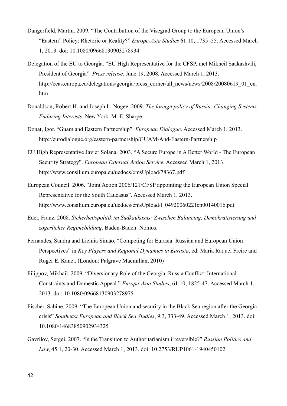- Dangerfield, Martin. 2009. "The Contribution of the Visegrad Group to the European Union's "Eastern" Policy: Rhetoric or Reality?" *Europe-Asia Studies* 61:10, 1735–55. Accessed March 1, 2013. doi: 10.1080/09668130903278934
- Delegation of the EU to Georgia. "EU High Representative for the CFSP, met Mikheil Saakashvili, President of Georgia". *Press release,* June 19, 2008. Accessed March 1, 2013. http://eeas.europa.eu/delegations/georgia/press\_corner/all\_news/news/2008/20080619\_01\_en. htm
- Donaldson, Robert H. and Joseph L. Nogee. 2009. *The foreign policy of Russia: Changing Systems, Enduring Interests*. New York: M. E. Sharpe
- Donat, Igor. "Guam and Eastern Partnership". *European Dialogue*. Accessed March 1, 2013. http://eurodialogue.org/eastern-partnership/GUAM-And-Eastern-Partnership
- EU High Representative Javier Solana. 2003. "A Secure Europe in A Better World The European Security Strategy". *European External Action Service.* Accessed March 1, 2013. http://www.consilium.europa.eu/uedocs/cmsUpload/78367.pdf
- European Council. 2006. "Joint Action 2006/121/CFSP appointing the European Union Special Representative for the South Caucasus". Accessed March 1, 2013. http://www.consilium.europa.eu/uedocs/cmsUpload/l\_04920060221en00140016.pdf
- Eder, Franz. 2008. *Sicherheitspolitik im Südkaukasus: Zwischen Balancing, Demokratisierung und zögerlicher Regimebildung*. Baden-Baden: Nomos.
- Fernandes, Sandra and Licínia Simão, "Competing for Eurasia: Russian and European Union Perspectives" in *Key Players and Regional Dynamics in Eurasia*, ed. Maria Raquel Freire and Roger E. Kanet. (London: Palgrave Macmillan, 2010)
- Filippov, Mikhail. 2009. "Diversionary Role of the Georgia–Russia Conflict: International Constraints and Domestic Appeal." *Europe-Asia Studies*, 61:10, 1825-47. Accessed March 1, 2013. doi: 10.1080/09668130903278975
- Fischer, Sabine. 2009. "The European Union and security in the Black Sea region after the Georgia crisis" *Southeast European and Black Sea Studies*, 9:3, 333-49. Accessed March 1, 2013. doi: 10.1080/14683850902934325
- Gavrilov, Sergei. 2007. "Is the Transition to Authoritarianism irreversible?" *Russian Politics and Law*, 45:1, 20-30. Accessed March 1, 2013. doi: 10.2753/RUP1061-1940450102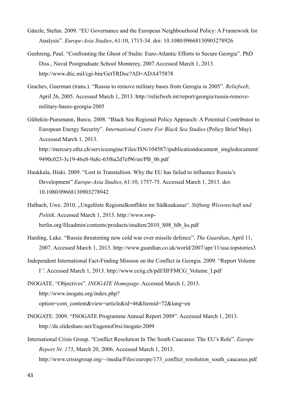- Gänzle, Stefan. 2009. "EU Governance and the European Neighbourhood Policy: A Framework for Analysis". *Europe-Asia Studies*, 61:10, 1715-34. doi: 10.1080/09668130903278926
- Geehreng, Paul. "Confronting the Ghost of Stalin: Euro-Atlantic Efforts to Secure Georgia". PhD Diss., Naval Postgraduate School Monterey, 2007.Accessed March 1, 2013. http://www.dtic.mil/cgi-bin/GetTRDoc?AD=ADA475878
- Grachev, Guerman (trans.). "Russia to remove military bases from Gerogia in 2005". *Reliefweb*, April 26, 2005. Accessed March 1, 2013. http://reliefweb.int/report/georgia/russia-removemilitary-bases-georgia-2005
- Gültekin-Punsmann, Burcu. 2008. "Black Sea Regional Policy Appraoch: A Potential Contributor to European Energy Security". *International Centre For Black Sea Studies* (Policy Brief May)*.*  Accessed March 1, 2013. http://mercury.ethz.ch/serviceengine/Files/ISN/104587/ipublicationdocument\_singledocument/ 9490c023-3c19-46e8-9a8c-65f6a2d7ef96/en/PB\_06.pdf
- Haukkala, Hiski. 2009. "Lost in Transtaltion: Why the EU has failed to influence Russia's Development" *Europe-Asia Studies*, 61:10, 1757-75. Accessed March 1, 2013. doi: 10.1080/09668130903278942
- Halbach, Uwe. 2010. "Ungelöste Regionalkonflikte im Südkaukasus". *Stiftung Wissenschaft und Politik.* Accessed March 1, 2013. http://www.swpberlin.org/fileadmin/contents/products/studien/2010\_S08\_hlb\_ks.pdf
- Harding, Luke. "Russia threatening new cold war over missile defence". *The Guardian*, April 11, 2007. Accessed March 1, 2013. http://www.guardian.co.uk/world/2007/apr/11/usa.topstories3
- Independent International Fact-Finding Mission on the Conflict in Georgia. 2009. "Report Volume I*"*. Accessed March 1, 2013. http://www.ceiig.ch/pdf/IIFFMCG\_Volume\_I.pdf

INOGATE. "Objectives". *INOGATE Homepage*. Accessed March 1, 2013. http://www.inogate.org/index.php? option=com\_content&view=article&id=46&Itemid=72&lang=en

- INOGATE. 2009. "INOGATE Programme Annual Report 2009". Accessed March 1, 2013. http://de.slideshare.net/EugenioOrsi/inogate-2009
- International Crisis Group. "Conflict Resolution In The South Caucasus: The EU's Role". *Europe Report Nr. 173*, March 20, 2006. Accessed March 1, 2013. http://www.crisisgroup.org/~/media/Files/europe/173\_conflict\_resolution\_south\_caucasus.pdf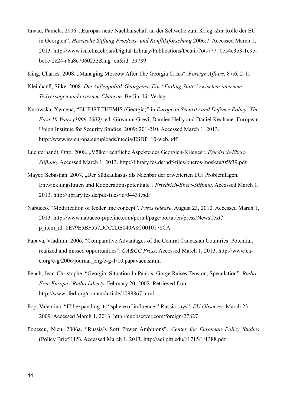- Jawad, Pamela. 2006. "Europas neue Nachbarschaft an der Schwelle zum Krieg: Zur Rolle der EU in Georgien". *Hessische Stiftung Friedens- und Konfliktforschung* 2006:7. Accessed March 1, 2013. http://www.isn.ethz.ch/isn/Digital-Library/Publications/Detail/?ots777=0c54e3b3-1e9cbe1e-2c24-a6a8c7060233&lng=en&id=29739
- King, Charles. 2008. "Managing Moscow After The Georgia Crisis". *Foreign Affairs*, 87:6, 2-11
- Kleinhanß, Silke. 2008. *Die Außenpolitik Georgiens: Ein "Failing State" zwischen internem Teilversagen und externen Chancen*. Berlin: Lit Verlag.
- Kurowska, Xymena, "EUJUST THEMIS (Georgia)" in *European Security and Defence Policy: The First 10 Years (1999-2009)*, ed. Giovanni Grevi, Damien Helly and Daniel Keohane. European Union Institute for Security Studies, 2009: 201-210. Accessed March 1, 2013. http://www.iss.europa.eu/uploads/media/ESDP\_10-web.pdf
- Luchterhandt, Otto. 2008. "Völkerrechtliche Aspekte des Georgien-Krieges". *Friedrich-Ebert-Stiftung*. Accessed March 1, 2013. http://library.fes.de/pdf-files/bueros/moskau/05939.pdf
- Mayer, Sebastian. 2007. "Der Südkaukasus als Nachbar der erweiterten EU: Problemlagen, Entwicklungslinien und Kooperationspotentiale". *Friedrich-Ebert-Stiftung*. Accessed March 1, 2013. http://library.fes.de/pdf-files/id/04431.pdf
- Nabucco. "Modification of feeder line concept". *Press release*, August 23, 2010. Accessed March 1, 2013. http://www.nabucco-pipeline.com/portal/page/portal/en/press/NewsText? p\_item\_id=8E79E5BF557DCC2DE040A8C0010178CA
- Papava, Vladimir. 2006. "Comparative Advantages of the Central Caucasian Countries: Potential, realized and missed opportunities". *CA&CC Press*. Accessed March 1, 2013. http://www.cac.org/c-g/2006/journal\_eng/c-g-1/10.papavaen.shtml
- Peuch, Jean-Christophe. "Georgia: Situation In Pankisi Gorge Raises Tension, Speculation". *Radio Free Europe / Radio Liberty*, February 20, 2002. Retrieved from http://www.rferl.org/content/article/1098867.html
- Pop, Valentina. "EU expanding its "sphere of influence," Russia says". *EU Observer*, March 23, 2009. Accessed March 1, 2013. http://euobserver.com/foreign/27827
- Popescu, Nicu. 2006a. "Russia's Soft Power Ambitions". *Center for European Policy Studies*  (Policy Brief 115). Accessed March 1, 2013. http://aei.pitt.edu/11715/1/1388.pdf